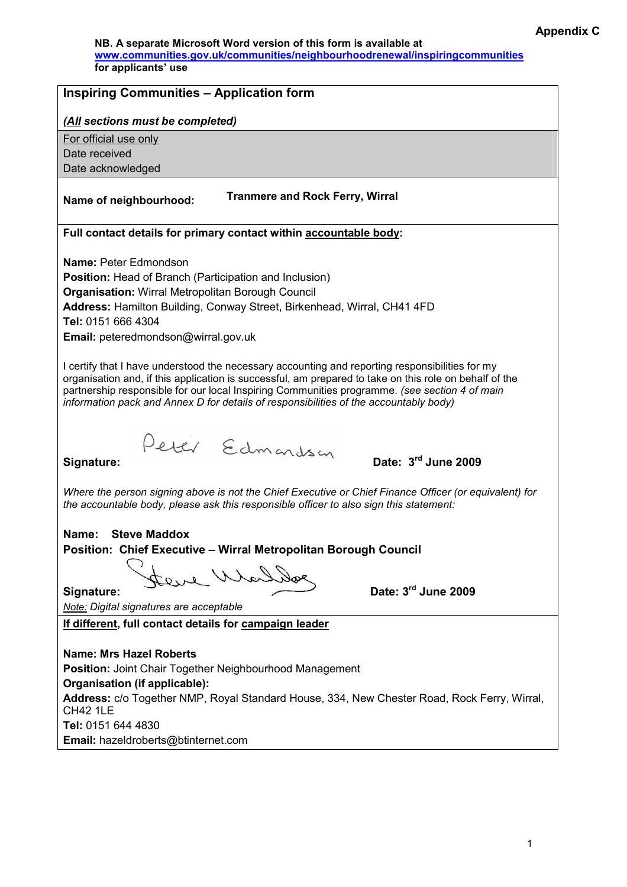NB. A separate Microsoft Word version of this form is available at www.communities.gov.uk/communities/neighbourhoodrenewal/inspiringcommunities for applicants' use

| <b>Inspiring Communities - Application form</b>                                                                                                                                                                                                                                                                                                                                                     |
|-----------------------------------------------------------------------------------------------------------------------------------------------------------------------------------------------------------------------------------------------------------------------------------------------------------------------------------------------------------------------------------------------------|
| (All sections must be completed)                                                                                                                                                                                                                                                                                                                                                                    |
| For official use only                                                                                                                                                                                                                                                                                                                                                                               |
| Date received                                                                                                                                                                                                                                                                                                                                                                                       |
| Date acknowledged                                                                                                                                                                                                                                                                                                                                                                                   |
| <b>Tranmere and Rock Ferry, Wirral</b><br>Name of neighbourhood:                                                                                                                                                                                                                                                                                                                                    |
| Full contact details for primary contact within accountable body:                                                                                                                                                                                                                                                                                                                                   |
|                                                                                                                                                                                                                                                                                                                                                                                                     |
| <b>Name: Peter Edmondson</b>                                                                                                                                                                                                                                                                                                                                                                        |
| <b>Position:</b> Head of Branch (Participation and Inclusion)                                                                                                                                                                                                                                                                                                                                       |
| <b>Organisation: Wirral Metropolitan Borough Council</b><br>Address: Hamilton Building, Conway Street, Birkenhead, Wirral, CH41 4FD                                                                                                                                                                                                                                                                 |
| Tel: 0151 666 4304                                                                                                                                                                                                                                                                                                                                                                                  |
| Email: peteredmondson@wirral.gov.uk                                                                                                                                                                                                                                                                                                                                                                 |
|                                                                                                                                                                                                                                                                                                                                                                                                     |
| I certify that I have understood the necessary accounting and reporting responsibilities for my<br>organisation and, if this application is successful, am prepared to take on this role on behalf of the<br>partnership responsible for our local Inspiring Communities programme. (see section 4 of main<br>information pack and Annex D for details of responsibilities of the accountably body) |
| Peter Edmondson<br>Date: 3rd June 2009<br>Signature:                                                                                                                                                                                                                                                                                                                                                |
| Where the person signing above is not the Chief Executive or Chief Finance Officer (or equivalent) for<br>the accountable body, please ask this responsible officer to also sign this statement:                                                                                                                                                                                                    |
| <b>Steve Maddox</b><br>Name:                                                                                                                                                                                                                                                                                                                                                                        |
| <b>Position: Chief Executive - Wirral Metropolitan Borough Council</b>                                                                                                                                                                                                                                                                                                                              |
|                                                                                                                                                                                                                                                                                                                                                                                                     |
| eve Whaller                                                                                                                                                                                                                                                                                                                                                                                         |
| Date: 3rd June 2009<br>Signature:                                                                                                                                                                                                                                                                                                                                                                   |
| Note: Digital signatures are acceptable                                                                                                                                                                                                                                                                                                                                                             |
| If different, full contact details for campaign leader                                                                                                                                                                                                                                                                                                                                              |
|                                                                                                                                                                                                                                                                                                                                                                                                     |
| <b>Name: Mrs Hazel Roberts</b>                                                                                                                                                                                                                                                                                                                                                                      |
| <b>Position: Joint Chair Together Neighbourhood Management</b>                                                                                                                                                                                                                                                                                                                                      |
| Organisation (if applicable):<br>Address: c/o Together NMP, Royal Standard House, 334, New Chester Road, Rock Ferry, Wirral,<br><b>CH42 1LE</b>                                                                                                                                                                                                                                                     |
|                                                                                                                                                                                                                                                                                                                                                                                                     |

Tel: 0151 644 4830 Email: hazeldroberts@btinternet.com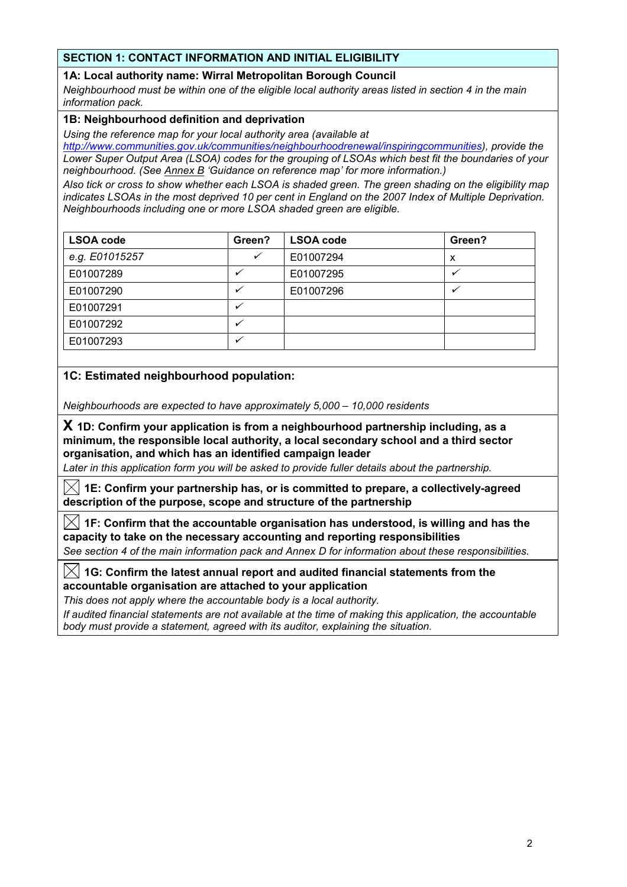# SECTION 1: CONTACT INFORMATION AND INITIAL ELIGIBILITY

## 1A: Local authority name: Wirral Metropolitan Borough Council

Neighbourhood must be within one of the eligible local authority areas listed in section 4 in the main information pack.

### 1B: Neighbourhood definition and deprivation

Using the reference map for your local authority area (available at

http://www.communities.gov.uk/communities/neighbourhoodrenewal/inspiringcommunities), provide the Lower Super Output Area (LSOA) codes for the grouping of LSOAs which best fit the boundaries of your neighbourhood. (See Annex B 'Guidance on reference map' for more information.)

Also tick or cross to show whether each LSOA is shaded green. The green shading on the eligibility map indicates LSOAs in the most deprived 10 per cent in England on the 2007 Index of Multiple Deprivation. Neighbourhoods including one or more LSOA shaded green are eligible.

| <b>LSOA code</b> | Green?       | <b>LSOA code</b> | Green? |
|------------------|--------------|------------------|--------|
| e.g. E01015257   | $\checkmark$ | E01007294        | x      |
| E01007289        |              | E01007295        |        |
| E01007290        |              | E01007296        |        |
| E01007291        |              |                  |        |
| E01007292        |              |                  |        |
| E01007293        |              |                  |        |

# 1C: Estimated neighbourhood population:

Neighbourhoods are expected to have approximately 5,000 – 10,000 residents

 $X$  1D: Confirm your application is from a neighbourhood partnership including, as a minimum, the responsible local authority, a local secondary school and a third sector organisation, and which has an identified campaign leader

Later in this application form you will be asked to provide fuller details about the partnership.

 $[\times]$  1E: Confirm your partnership has, or is committed to prepare, a collectively-agreed description of the purpose, scope and structure of the partnership

 $|\!\!\times\!|$  1F: Confirm that the accountable organisation has understood, is willing and has the capacity to take on the necessary accounting and reporting responsibilities

See section 4 of the main information pack and Annex D for information about these responsibilities.

 $|\!\!\times\!\!|$  1G: Confirm the latest annual report and audited financial statements from the accountable organisation are attached to your application

This does not apply where the accountable body is a local authority.

If audited financial statements are not available at the time of making this application, the accountable body must provide a statement, agreed with its auditor, explaining the situation.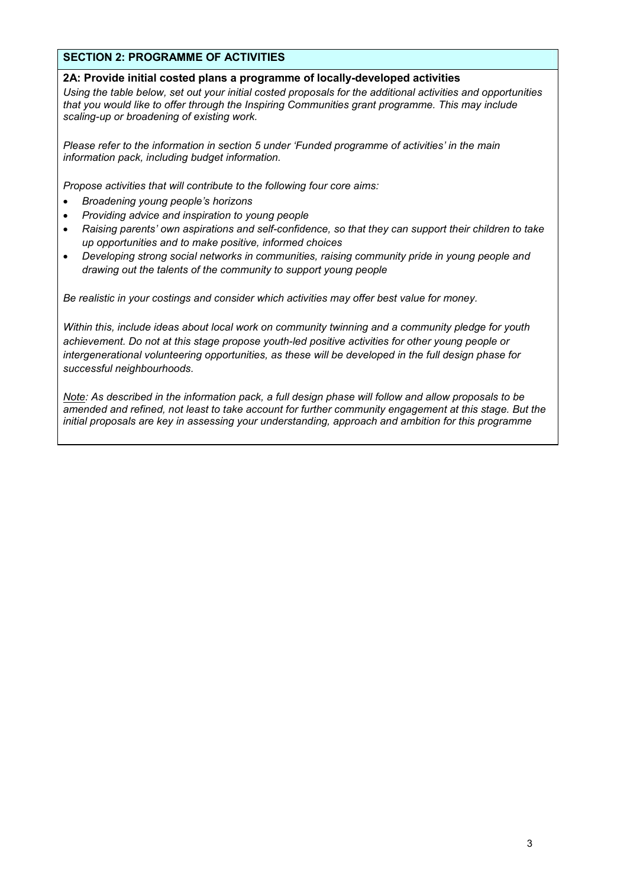## SECTION 2: PROGRAMME OF ACTIVITIES

### 2A: Provide initial costed plans a programme of locally-developed activities

Using the table below, set out your initial costed proposals for the additional activities and opportunities that you would like to offer through the Inspiring Communities grant programme. This may include scaling-up or broadening of existing work.

Please refer to the information in section 5 under 'Funded programme of activities' in the main information pack, including budget information.

Propose activities that will contribute to the following four core aims:

- Broadening young people's horizons
- Providing advice and inspiration to young people
- Raising parents' own aspirations and self-confidence, so that they can support their children to take up opportunities and to make positive, informed choices
- Developing strong social networks in communities, raising community pride in young people and drawing out the talents of the community to support young people

Be realistic in your costings and consider which activities may offer best value for money.

Within this, include ideas about local work on community twinning and a community pledge for youth achievement. Do not at this stage propose youth-led positive activities for other young people or intergenerational volunteering opportunities, as these will be developed in the full design phase for successful neighbourhoods.

Note: As described in the information pack, a full design phase will follow and allow proposals to be amended and refined, not least to take account for further community engagement at this stage. But the initial proposals are key in assessing your understanding, approach and ambition for this programme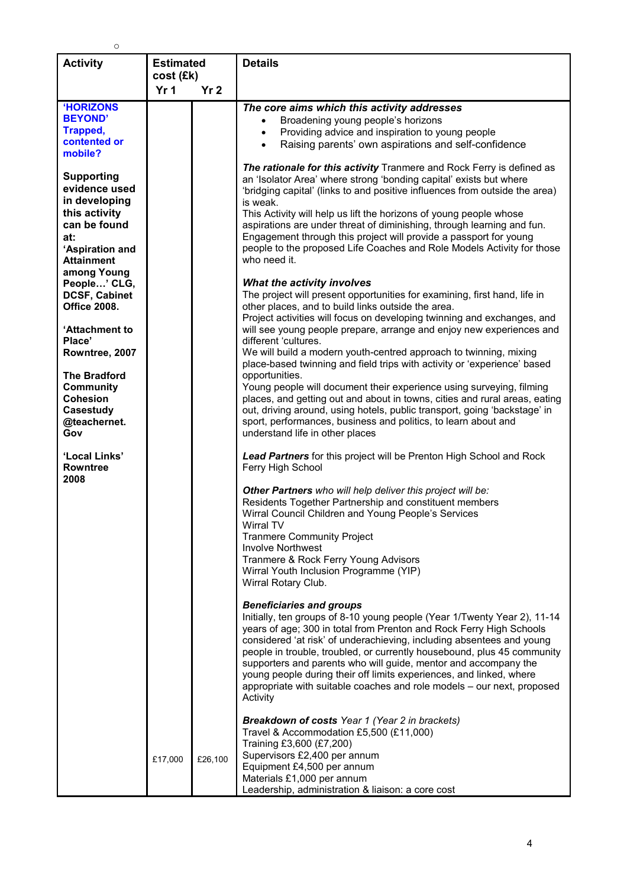| <b>Activity</b>                                                                                                                                                                                                                                                                                                                                                                                                                                                                            | <b>Estimated</b>             |                 | <b>Details</b>                                                                                                                                                                                                                                                                                                                                                                                                                                                                                                                                                                                                                                                                                                                                                                                                                                                                                                                                                                                                                                                                                                                                                                                                                                                                                                                                                                                                                                                                                                                                                                                                                                                                                                                                                                                                                                                                                                                                                                                                                                                                                                                                                                                                                                                                                                                                                                                                                                                                                                                                                                                                                                                                      |
|--------------------------------------------------------------------------------------------------------------------------------------------------------------------------------------------------------------------------------------------------------------------------------------------------------------------------------------------------------------------------------------------------------------------------------------------------------------------------------------------|------------------------------|-----------------|-------------------------------------------------------------------------------------------------------------------------------------------------------------------------------------------------------------------------------------------------------------------------------------------------------------------------------------------------------------------------------------------------------------------------------------------------------------------------------------------------------------------------------------------------------------------------------------------------------------------------------------------------------------------------------------------------------------------------------------------------------------------------------------------------------------------------------------------------------------------------------------------------------------------------------------------------------------------------------------------------------------------------------------------------------------------------------------------------------------------------------------------------------------------------------------------------------------------------------------------------------------------------------------------------------------------------------------------------------------------------------------------------------------------------------------------------------------------------------------------------------------------------------------------------------------------------------------------------------------------------------------------------------------------------------------------------------------------------------------------------------------------------------------------------------------------------------------------------------------------------------------------------------------------------------------------------------------------------------------------------------------------------------------------------------------------------------------------------------------------------------------------------------------------------------------------------------------------------------------------------------------------------------------------------------------------------------------------------------------------------------------------------------------------------------------------------------------------------------------------------------------------------------------------------------------------------------------------------------------------------------------------------------------------------------------|
|                                                                                                                                                                                                                                                                                                                                                                                                                                                                                            |                              |                 |                                                                                                                                                                                                                                                                                                                                                                                                                                                                                                                                                                                                                                                                                                                                                                                                                                                                                                                                                                                                                                                                                                                                                                                                                                                                                                                                                                                                                                                                                                                                                                                                                                                                                                                                                                                                                                                                                                                                                                                                                                                                                                                                                                                                                                                                                                                                                                                                                                                                                                                                                                                                                                                                                     |
| <b>'HORIZONS</b><br><b>BEYOND'</b><br>Trapped,<br>contented or<br>mobile?<br><b>Supporting</b><br>evidence used<br>in developing<br>this activity<br>can be found<br>at:<br>'Aspiration and<br><b>Attainment</b><br>among Young<br>People' CLG,<br><b>DCSF, Cabinet</b><br><b>Office 2008.</b><br>'Attachment to<br>Place'<br>Rowntree, 2007<br><b>The Bradford</b><br><b>Community</b><br><b>Cohesion</b><br>Casestudy<br>@teachernet.<br>Gov<br>'Local Links'<br><b>Rowntree</b><br>2008 | cost (£k)<br>Yr <sub>1</sub> | Yr <sub>2</sub> | The core aims which this activity addresses<br>Broadening young people's horizons<br>Providing advice and inspiration to young people<br>$\bullet$<br>Raising parents' own aspirations and self-confidence<br>$\bullet$<br>The rationale for this activity Tranmere and Rock Ferry is defined as<br>an 'Isolator Area' where strong 'bonding capital' exists but where<br>'bridging capital' (links to and positive influences from outside the area)<br>is weak.<br>This Activity will help us lift the horizons of young people whose<br>aspirations are under threat of diminishing, through learning and fun.<br>Engagement through this project will provide a passport for young<br>people to the proposed Life Coaches and Role Models Activity for those<br>who need it.<br>What the activity involves<br>The project will present opportunities for examining, first hand, life in<br>other places, and to build links outside the area.<br>Project activities will focus on developing twinning and exchanges, and<br>will see young people prepare, arrange and enjoy new experiences and<br>different 'cultures.<br>We will build a modern youth-centred approach to twinning, mixing<br>place-based twinning and field trips with activity or 'experience' based<br>opportunities.<br>Young people will document their experience using surveying, filming<br>places, and getting out and about in towns, cities and rural areas, eating<br>out, driving around, using hotels, public transport, going 'backstage' in<br>sport, performances, business and politics, to learn about and<br>understand life in other places<br>Lead Partners for this project will be Prenton High School and Rock<br>Ferry High School<br>Other Partners who will help deliver this project will be:<br>Residents Together Partnership and constituent members<br>Wirral Council Children and Young People's Services<br>Wirral TV<br><b>Tranmere Community Project</b><br><b>Involve Northwest</b><br>Tranmere & Rock Ferry Young Advisors<br>Wirral Youth Inclusion Programme (YIP)<br>Wirral Rotary Club.<br><b>Beneficiaries and groups</b><br>Initially, ten groups of 8-10 young people (Year 1/Twenty Year 2), 11-14<br>years of age; 300 in total from Prenton and Rock Ferry High Schools<br>considered 'at risk' of underachieving, including absentees and young<br>people in trouble, troubled, or currently housebound, plus 45 community<br>supporters and parents who will guide, mentor and accompany the<br>young people during their off limits experiences, and linked, where<br>appropriate with suitable coaches and role models - our next, proposed<br>Activity |
|                                                                                                                                                                                                                                                                                                                                                                                                                                                                                            | £17,000                      | £26,100         | <b>Breakdown of costs</b> Year 1 (Year 2 in brackets)<br>Travel & Accommodation £5,500 (£11,000)<br>Training £3,600 (£7,200)<br>Supervisors £2,400 per annum<br>Equipment £4,500 per annum<br>Materials £1,000 per annum<br>Leadership, administration & liaison: a core cost                                                                                                                                                                                                                                                                                                                                                                                                                                                                                                                                                                                                                                                                                                                                                                                                                                                                                                                                                                                                                                                                                                                                                                                                                                                                                                                                                                                                                                                                                                                                                                                                                                                                                                                                                                                                                                                                                                                                                                                                                                                                                                                                                                                                                                                                                                                                                                                                       |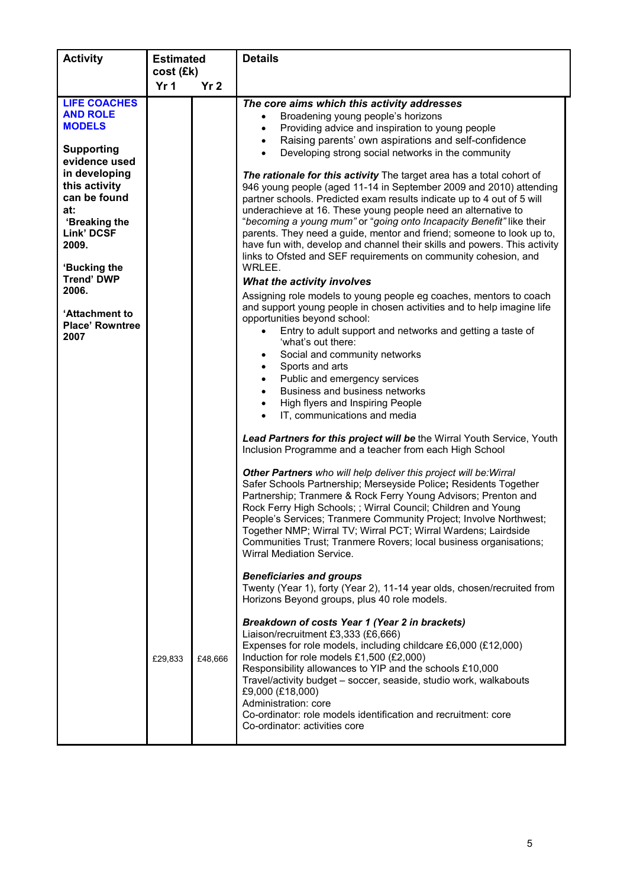| <b>Activity</b>                                                                                                                                                                                 | <b>Estimated</b>             |                 | <b>Details</b>                                                                                                                                                                                                                                                                                                                                                                                                                                                                                                                                                                                                                                                                                                                                                                                                                                                                                                                                                                                                                                                                 |
|-------------------------------------------------------------------------------------------------------------------------------------------------------------------------------------------------|------------------------------|-----------------|--------------------------------------------------------------------------------------------------------------------------------------------------------------------------------------------------------------------------------------------------------------------------------------------------------------------------------------------------------------------------------------------------------------------------------------------------------------------------------------------------------------------------------------------------------------------------------------------------------------------------------------------------------------------------------------------------------------------------------------------------------------------------------------------------------------------------------------------------------------------------------------------------------------------------------------------------------------------------------------------------------------------------------------------------------------------------------|
|                                                                                                                                                                                                 | cost (£k)<br>Yr <sub>1</sub> | Yr <sub>2</sub> |                                                                                                                                                                                                                                                                                                                                                                                                                                                                                                                                                                                                                                                                                                                                                                                                                                                                                                                                                                                                                                                                                |
| <b>LIFE COACHES</b><br><b>AND ROLE</b><br><b>MODELS</b>                                                                                                                                         |                              |                 | The core aims which this activity addresses<br>Broadening young people's horizons<br>$\bullet$<br>Providing advice and inspiration to young people<br>$\bullet$<br>Raising parents' own aspirations and self-confidence<br>$\bullet$                                                                                                                                                                                                                                                                                                                                                                                                                                                                                                                                                                                                                                                                                                                                                                                                                                           |
| <b>Supporting</b><br>evidence used                                                                                                                                                              |                              |                 | Developing strong social networks in the community<br>$\bullet$                                                                                                                                                                                                                                                                                                                                                                                                                                                                                                                                                                                                                                                                                                                                                                                                                                                                                                                                                                                                                |
| in developing<br>this activity<br>can be found<br>at:<br>'Breaking the<br>Link' DCSF<br>2009.<br>'Bucking the<br><b>Trend' DWP</b><br>2006.<br>'Attachment to<br><b>Place' Rowntree</b><br>2007 |                              |                 | The rationale for this activity The target area has a total cohort of<br>946 young people (aged 11-14 in September 2009 and 2010) attending<br>partner schools. Predicted exam results indicate up to 4 out of 5 will<br>underachieve at 16. These young people need an alternative to<br>"becoming a young mum" or "going onto Incapacity Benefit" like their<br>parents. They need a guide, mentor and friend; someone to look up to,<br>have fun with, develop and channel their skills and powers. This activity<br>links to Ofsted and SEF requirements on community cohesion, and<br>WRLEE.<br>What the activity involves<br>Assigning role models to young people eg coaches, mentors to coach<br>and support young people in chosen activities and to help imagine life<br>opportunities beyond school:<br>Entry to adult support and networks and getting a taste of<br>'what's out there:<br>Social and community networks<br>$\bullet$<br>Sports and arts<br>$\bullet$<br>Public and emergency services<br>$\bullet$<br>Business and business networks<br>$\bullet$ |
|                                                                                                                                                                                                 |                              |                 | High flyers and Inspiring People<br>$\bullet$<br>IT, communications and media<br>$\bullet$                                                                                                                                                                                                                                                                                                                                                                                                                                                                                                                                                                                                                                                                                                                                                                                                                                                                                                                                                                                     |
|                                                                                                                                                                                                 |                              |                 | Lead Partners for this project will be the Wirral Youth Service, Youth<br>Inclusion Programme and a teacher from each High School                                                                                                                                                                                                                                                                                                                                                                                                                                                                                                                                                                                                                                                                                                                                                                                                                                                                                                                                              |
|                                                                                                                                                                                                 |                              |                 | Other Partners who will help deliver this project will be: Wirral<br>Safer Schools Partnership; Merseyside Police; Residents Together<br>Partnership; Tranmere & Rock Ferry Young Advisors; Prenton and<br>Rock Ferry High Schools; ; Wirral Council; Children and Young<br>People's Services; Tranmere Community Project; Involve Northwest;<br>Together NMP; Wirral TV; Wirral PCT; Wirral Wardens; Lairdside<br>Communities Trust; Tranmere Rovers; local business organisations;<br>Wirral Mediation Service.                                                                                                                                                                                                                                                                                                                                                                                                                                                                                                                                                              |
|                                                                                                                                                                                                 |                              |                 | <b>Beneficiaries and groups</b><br>Twenty (Year 1), forty (Year 2), 11-14 year olds, chosen/recruited from<br>Horizons Beyond groups, plus 40 role models.                                                                                                                                                                                                                                                                                                                                                                                                                                                                                                                                                                                                                                                                                                                                                                                                                                                                                                                     |
|                                                                                                                                                                                                 | £29,833                      | £48,666         | Breakdown of costs Year 1 (Year 2 in brackets)<br>Liaison/recruitment £3,333 (£6,666)<br>Expenses for role models, including childcare £6,000 (£12,000)<br>Induction for role models £1,500 (£2,000)<br>Responsibility allowances to YIP and the schools £10,000<br>Travel/activity budget - soccer, seaside, studio work, walkabouts<br>£9,000 (£18,000)<br>Administration: core<br>Co-ordinator: role models identification and recruitment: core<br>Co-ordinator: activities core                                                                                                                                                                                                                                                                                                                                                                                                                                                                                                                                                                                           |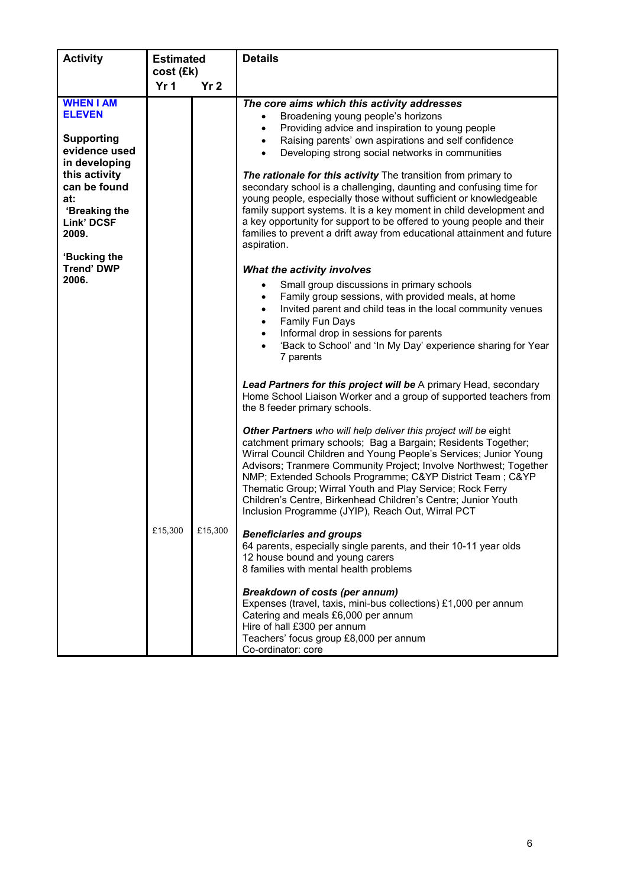| <b>Activity</b>                                                                          | <b>Estimated</b><br>cost (£k) |                 | <b>Details</b>                                                                                                                                                                                                                                                                                                                                                                                                                                                                                                             |
|------------------------------------------------------------------------------------------|-------------------------------|-----------------|----------------------------------------------------------------------------------------------------------------------------------------------------------------------------------------------------------------------------------------------------------------------------------------------------------------------------------------------------------------------------------------------------------------------------------------------------------------------------------------------------------------------------|
|                                                                                          | Yr <sub>1</sub>               | Yr <sub>2</sub> |                                                                                                                                                                                                                                                                                                                                                                                                                                                                                                                            |
| <b>WHEN I AM</b><br><b>ELEVEN</b><br><b>Supporting</b><br>evidence used<br>in developing |                               |                 | The core aims which this activity addresses<br>Broadening young people's horizons<br>Providing advice and inspiration to young people<br>$\bullet$<br>Raising parents' own aspirations and self confidence<br>$\bullet$<br>Developing strong social networks in communities<br>$\bullet$                                                                                                                                                                                                                                   |
| this activity<br>can be found<br>at:<br>'Breaking the<br><b>Link' DCSF</b><br>2009.      |                               |                 | The rationale for this activity The transition from primary to<br>secondary school is a challenging, daunting and confusing time for<br>young people, especially those without sufficient or knowledgeable<br>family support systems. It is a key moment in child development and<br>a key opportunity for support to be offered to young people and their<br>families to prevent a drift away from educational attainment and future<br>aspiration.                                                                       |
| 'Bucking the<br><b>Trend' DWP</b><br>2006.                                               |                               |                 | What the activity involves<br>Small group discussions in primary schools<br>$\bullet$<br>Family group sessions, with provided meals, at home<br>$\bullet$<br>Invited parent and child teas in the local community venues<br>$\bullet$<br>Family Fun Days<br>$\bullet$<br>Informal drop in sessions for parents<br>$\bullet$<br>'Back to School' and 'In My Day' experience sharing for Year<br>7 parents                                                                                                                   |
|                                                                                          |                               |                 | Lead Partners for this project will be A primary Head, secondary<br>Home School Liaison Worker and a group of supported teachers from<br>the 8 feeder primary schools.                                                                                                                                                                                                                                                                                                                                                     |
|                                                                                          |                               |                 | Other Partners who will help deliver this project will be eight<br>catchment primary schools; Bag a Bargain; Residents Together;<br>Wirral Council Children and Young People's Services; Junior Young<br>Advisors; Tranmere Community Project; Involve Northwest; Together<br>NMP; Extended Schools Programme; C&YP District Team; C&YP<br>Thematic Group; Wirral Youth and Play Service; Rock Ferry<br>Children's Centre, Birkenhead Children's Centre; Junior Youth<br>Inclusion Programme (JYIP), Reach Out, Wirral PCT |
|                                                                                          | £15,300                       | £15,300         | <b>Beneficiaries and groups</b><br>64 parents, especially single parents, and their 10-11 year olds<br>12 house bound and young carers<br>8 families with mental health problems                                                                                                                                                                                                                                                                                                                                           |
|                                                                                          |                               |                 | <b>Breakdown of costs (per annum)</b><br>Expenses (travel, taxis, mini-bus collections) £1,000 per annum<br>Catering and meals £6,000 per annum<br>Hire of hall £300 per annum<br>Teachers' focus group £8,000 per annum<br>Co-ordinator: core                                                                                                                                                                                                                                                                             |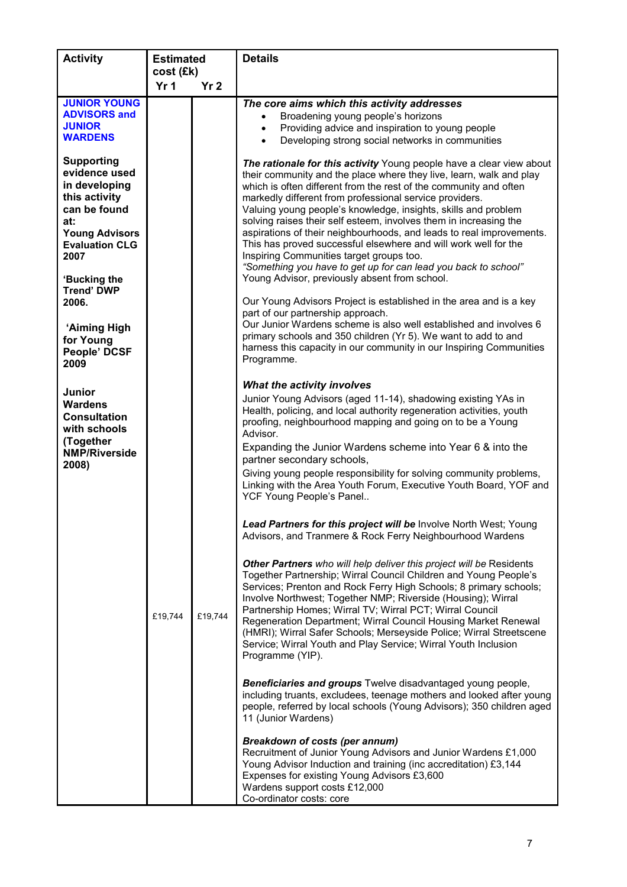| <b>Activity</b>                      | <b>Estimated</b> |                 | <b>Details</b>                                                                                                                        |
|--------------------------------------|------------------|-----------------|---------------------------------------------------------------------------------------------------------------------------------------|
|                                      | cost (£k)        |                 |                                                                                                                                       |
|                                      | Yr <sub>1</sub>  | Yr <sub>2</sub> |                                                                                                                                       |
| <b>JUNIOR YOUNG</b>                  |                  |                 | The core aims which this activity addresses                                                                                           |
| <b>ADVISORS and</b><br><b>JUNIOR</b> |                  |                 | Broadening young people's horizons                                                                                                    |
| <b>WARDENS</b>                       |                  |                 | Providing advice and inspiration to young people<br>$\bullet$<br>Developing strong social networks in communities                     |
|                                      |                  |                 | $\bullet$                                                                                                                             |
| <b>Supporting</b>                    |                  |                 | The rationale for this activity Young people have a clear view about                                                                  |
| evidence used                        |                  |                 | their community and the place where they live, learn, walk and play                                                                   |
| in developing                        |                  |                 | which is often different from the rest of the community and often                                                                     |
| this activity                        |                  |                 | markedly different from professional service providers.                                                                               |
| can be found                         |                  |                 | Valuing young people's knowledge, insights, skills and problem<br>solving raises their self esteem, involves them in increasing the   |
| at:<br><b>Young Advisors</b>         |                  |                 | aspirations of their neighbourhoods, and leads to real improvements.                                                                  |
| <b>Evaluation CLG</b>                |                  |                 | This has proved successful elsewhere and will work well for the                                                                       |
| 2007                                 |                  |                 | Inspiring Communities target groups too.                                                                                              |
|                                      |                  |                 | "Something you have to get up for can lead you back to school"                                                                        |
| 'Bucking the                         |                  |                 | Young Advisor, previously absent from school.                                                                                         |
| <b>Trend' DWP</b>                    |                  |                 |                                                                                                                                       |
| 2006.                                |                  |                 | Our Young Advisors Project is established in the area and is a key<br>part of our partnership approach.                               |
|                                      |                  |                 | Our Junior Wardens scheme is also well established and involves 6                                                                     |
| 'Aiming High<br>for Young            |                  |                 | primary schools and 350 children (Yr 5). We want to add to and                                                                        |
| People' DCSF                         |                  |                 | harness this capacity in our community in our Inspiring Communities                                                                   |
| 2009                                 |                  |                 | Programme.                                                                                                                            |
|                                      |                  |                 |                                                                                                                                       |
| Junior                               |                  |                 | What the activity involves                                                                                                            |
| <b>Wardens</b>                       |                  |                 | Junior Young Advisors (aged 11-14), shadowing existing YAs in                                                                         |
| <b>Consultation</b>                  |                  |                 | Health, policing, and local authority regeneration activities, youth                                                                  |
| with schools                         |                  |                 | proofing, neighbourhood mapping and going on to be a Young<br>Advisor.                                                                |
| (Together                            |                  |                 | Expanding the Junior Wardens scheme into Year 6 & into the                                                                            |
| <b>NMP/Riverside</b>                 |                  |                 | partner secondary schools,                                                                                                            |
| 2008)                                |                  |                 | Giving young people responsibility for solving community problems,                                                                    |
|                                      |                  |                 | Linking with the Area Youth Forum, Executive Youth Board, YOF and                                                                     |
|                                      |                  |                 | YCF Young People's Panel                                                                                                              |
|                                      |                  |                 |                                                                                                                                       |
|                                      |                  |                 | <b>Lead Partners for this project will be Involve North West; Young</b>                                                               |
|                                      |                  |                 | Advisors, and Tranmere & Rock Ferry Neighbourhood Wardens                                                                             |
|                                      |                  |                 |                                                                                                                                       |
|                                      |                  |                 | Other Partners who will help deliver this project will be Residents                                                                   |
|                                      |                  |                 | Together Partnership; Wirral Council Children and Young People's<br>Services; Prenton and Rock Ferry High Schools; 8 primary schools; |
|                                      |                  |                 | Involve Northwest; Together NMP; Riverside (Housing); Wirral                                                                          |
|                                      |                  |                 | Partnership Homes; Wirral TV; Wirral PCT; Wirral Council                                                                              |
|                                      | £19,744          | £19,744         | Regeneration Department; Wirral Council Housing Market Renewal                                                                        |
|                                      |                  |                 | (HMRI); Wirral Safer Schools; Merseyside Police; Wirral Streetscene                                                                   |
|                                      |                  |                 | Service; Wirral Youth and Play Service; Wirral Youth Inclusion                                                                        |
|                                      |                  |                 | Programme (YIP).                                                                                                                      |
|                                      |                  |                 |                                                                                                                                       |
|                                      |                  |                 | Beneficiaries and groups Twelve disadvantaged young people,<br>including truants, excludees, teenage mothers and looked after young   |
|                                      |                  |                 | people, referred by local schools (Young Advisors); 350 children aged                                                                 |
|                                      |                  |                 | 11 (Junior Wardens)                                                                                                                   |
|                                      |                  |                 |                                                                                                                                       |
|                                      |                  |                 | <b>Breakdown of costs (per annum)</b>                                                                                                 |
|                                      |                  |                 | Recruitment of Junior Young Advisors and Junior Wardens £1,000<br>Young Advisor Induction and training (inc accreditation) £3,144     |
|                                      |                  |                 | Expenses for existing Young Advisors £3,600                                                                                           |
|                                      |                  |                 | Wardens support costs £12,000                                                                                                         |
|                                      |                  |                 | Co-ordinator costs: core                                                                                                              |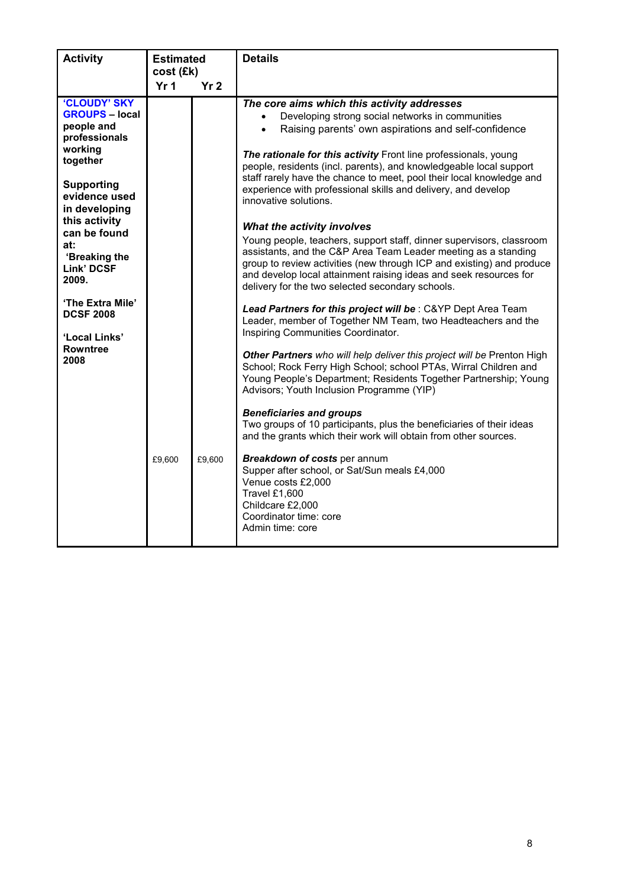| <b>Activity</b>                                                                                                                                                                                             | <b>Estimated</b><br>cost (£k) |                 | <b>Details</b>                                                                                                                                                                                                                                                                                                                                                                                                                                                                                                                                                                                                                                                                                                                                |
|-------------------------------------------------------------------------------------------------------------------------------------------------------------------------------------------------------------|-------------------------------|-----------------|-----------------------------------------------------------------------------------------------------------------------------------------------------------------------------------------------------------------------------------------------------------------------------------------------------------------------------------------------------------------------------------------------------------------------------------------------------------------------------------------------------------------------------------------------------------------------------------------------------------------------------------------------------------------------------------------------------------------------------------------------|
|                                                                                                                                                                                                             | Yr <sub>1</sub>               | Yr <sub>2</sub> |                                                                                                                                                                                                                                                                                                                                                                                                                                                                                                                                                                                                                                                                                                                                               |
| 'CLOUDY' SKY<br><b>GROUPS - local</b><br>people and<br>professionals<br>working<br>together<br><b>Supporting</b><br>evidence used<br>in developing<br>this activity<br>can be found<br>at:<br>'Breaking the |                               |                 | The core aims which this activity addresses<br>Developing strong social networks in communities<br>$\bullet$<br>Raising parents' own aspirations and self-confidence<br>$\bullet$<br>The rationale for this activity Front line professionals, young<br>people, residents (incl. parents), and knowledgeable local support<br>staff rarely have the chance to meet, pool their local knowledge and<br>experience with professional skills and delivery, and develop<br>innovative solutions.<br>What the activity involves<br>Young people, teachers, support staff, dinner supervisors, classroom<br>assistants, and the C&P Area Team Leader meeting as a standing<br>group to review activities (new through ICP and existing) and produce |
| Link' DCSF<br>2009.                                                                                                                                                                                         |                               |                 | and develop local attainment raising ideas and seek resources for<br>delivery for the two selected secondary schools.                                                                                                                                                                                                                                                                                                                                                                                                                                                                                                                                                                                                                         |
| 'The Extra Mile'<br><b>DCSF 2008</b><br>'Local Links'                                                                                                                                                       |                               |                 | Lead Partners for this project will be: C&YP Dept Area Team<br>Leader, member of Together NM Team, two Headteachers and the<br>Inspiring Communities Coordinator.                                                                                                                                                                                                                                                                                                                                                                                                                                                                                                                                                                             |
| <b>Rowntree</b><br>2008                                                                                                                                                                                     |                               |                 | Other Partners who will help deliver this project will be Prenton High<br>School; Rock Ferry High School; school PTAs, Wirral Children and<br>Young People's Department; Residents Together Partnership; Young<br>Advisors; Youth Inclusion Programme (YIP)                                                                                                                                                                                                                                                                                                                                                                                                                                                                                   |
|                                                                                                                                                                                                             |                               |                 | <b>Beneficiaries and groups</b><br>Two groups of 10 participants, plus the beneficiaries of their ideas<br>and the grants which their work will obtain from other sources.                                                                                                                                                                                                                                                                                                                                                                                                                                                                                                                                                                    |
|                                                                                                                                                                                                             | £9,600                        | £9,600          | Breakdown of costs per annum<br>Supper after school, or Sat/Sun meals £4,000<br>Venue costs £2,000<br>Travel £1,600<br>Childcare £2,000<br>Coordinator time: core<br>Admin time: core                                                                                                                                                                                                                                                                                                                                                                                                                                                                                                                                                         |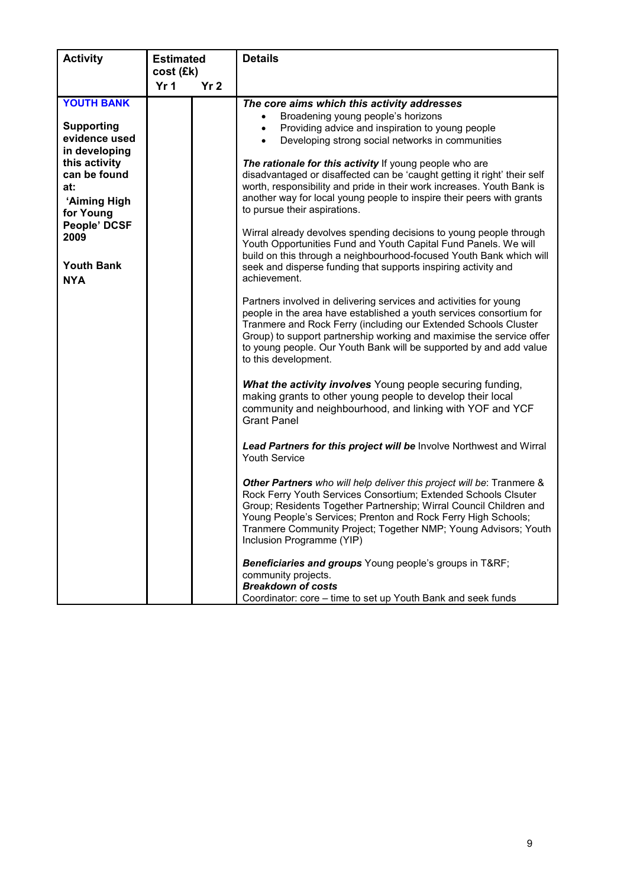| <b>Activity</b>                                                                                                                                                                                          | <b>Estimated</b>             |                 | <b>Details</b>                                                                                                                                                                                                                                                                                                                                                                                                                                                                                                                                                                                                                                                                                                                                                                                                                                                                                                                                                                                                                                                                                                                                                                                                                                                                                                                                                                                                                                                                                                                                                                                                                                                                                                                                                                                                                                                                                                                                                                                                                |
|----------------------------------------------------------------------------------------------------------------------------------------------------------------------------------------------------------|------------------------------|-----------------|-------------------------------------------------------------------------------------------------------------------------------------------------------------------------------------------------------------------------------------------------------------------------------------------------------------------------------------------------------------------------------------------------------------------------------------------------------------------------------------------------------------------------------------------------------------------------------------------------------------------------------------------------------------------------------------------------------------------------------------------------------------------------------------------------------------------------------------------------------------------------------------------------------------------------------------------------------------------------------------------------------------------------------------------------------------------------------------------------------------------------------------------------------------------------------------------------------------------------------------------------------------------------------------------------------------------------------------------------------------------------------------------------------------------------------------------------------------------------------------------------------------------------------------------------------------------------------------------------------------------------------------------------------------------------------------------------------------------------------------------------------------------------------------------------------------------------------------------------------------------------------------------------------------------------------------------------------------------------------------------------------------------------------|
|                                                                                                                                                                                                          | cost (£k)<br>Yr <sub>1</sub> | Yr <sub>2</sub> |                                                                                                                                                                                                                                                                                                                                                                                                                                                                                                                                                                                                                                                                                                                                                                                                                                                                                                                                                                                                                                                                                                                                                                                                                                                                                                                                                                                                                                                                                                                                                                                                                                                                                                                                                                                                                                                                                                                                                                                                                               |
| <b>YOUTH BANK</b><br><b>Supporting</b><br>evidence used<br>in developing<br>this activity<br>can be found<br>at:<br>'Aiming High<br>for Young<br>People' DCSF<br>2009<br><b>Youth Bank</b><br><b>NYA</b> |                              |                 | The core aims which this activity addresses<br>Broadening young people's horizons<br>Providing advice and inspiration to young people<br>Developing strong social networks in communities<br>$\bullet$<br>The rationale for this activity If young people who are<br>disadvantaged or disaffected can be 'caught getting it right' their self<br>worth, responsibility and pride in their work increases. Youth Bank is<br>another way for local young people to inspire their peers with grants<br>to pursue their aspirations.<br>Wirral already devolves spending decisions to young people through<br>Youth Opportunities Fund and Youth Capital Fund Panels. We will<br>build on this through a neighbourhood-focused Youth Bank which will<br>seek and disperse funding that supports inspiring activity and<br>achievement.<br>Partners involved in delivering services and activities for young<br>people in the area have established a youth services consortium for<br>Tranmere and Rock Ferry (including our Extended Schools Cluster<br>Group) to support partnership working and maximise the service offer<br>to young people. Our Youth Bank will be supported by and add value<br>to this development.<br>What the activity involves Young people securing funding,<br>making grants to other young people to develop their local<br>community and neighbourhood, and linking with YOF and YCF<br><b>Grant Panel</b><br>Lead Partners for this project will be Involve Northwest and Wirral<br>Youth Service<br>Other Partners who will help deliver this project will be: Tranmere &<br>Rock Ferry Youth Services Consortium; Extended Schools Clsuter<br>Group; Residents Together Partnership; Wirral Council Children and<br>Young People's Services; Prenton and Rock Ferry High Schools;<br>Tranmere Community Project; Together NMP; Young Advisors; Youth<br>Inclusion Programme (YIP)<br>Beneficiaries and groups Young people's groups in T&RF<br>community projects.<br><b>Breakdown of costs</b> |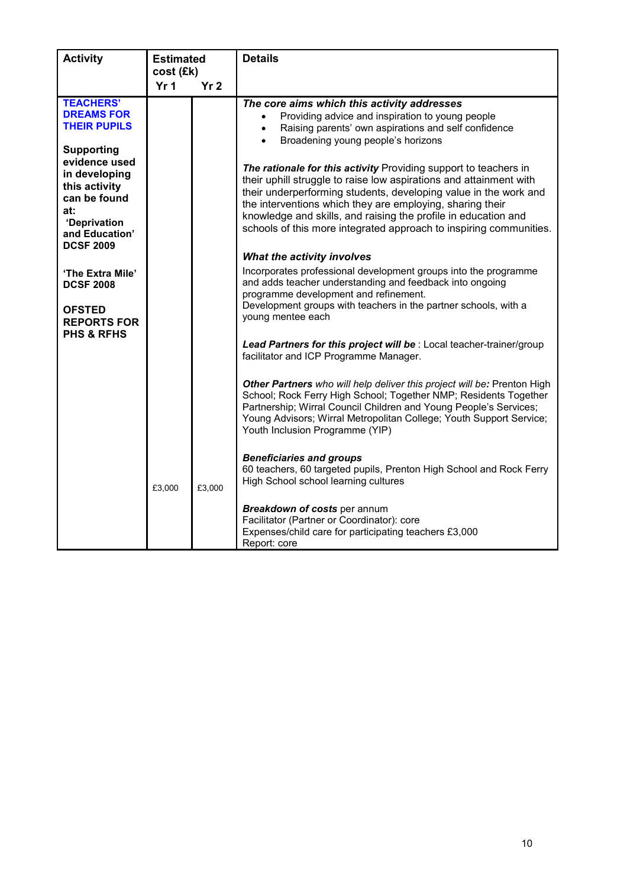| <b>Activity</b>                                                                                                                                   | <b>Estimated</b><br>cost (£k)<br>Yr <sub>1</sub><br>Yr <sub>2</sub> |        | <b>Details</b>                                                                                                                                                                                                                                                                                                                                                                                                  |
|---------------------------------------------------------------------------------------------------------------------------------------------------|---------------------------------------------------------------------|--------|-----------------------------------------------------------------------------------------------------------------------------------------------------------------------------------------------------------------------------------------------------------------------------------------------------------------------------------------------------------------------------------------------------------------|
| <b>TEACHERS'</b><br><b>DREAMS FOR</b><br><b>THEIR PUPILS</b>                                                                                      |                                                                     |        | The core aims which this activity addresses<br>Providing advice and inspiration to young people<br>$\bullet$<br>Raising parents' own aspirations and self confidence<br>$\bullet$<br>Broadening young people's horizons<br>$\bullet$                                                                                                                                                                            |
| <b>Supporting</b><br>evidence used<br>in developing<br>this activity<br>can be found<br>at:<br>'Deprivation<br>and Education'<br><b>DCSF 2009</b> |                                                                     |        | The rationale for this activity Providing support to teachers in<br>their uphill struggle to raise low aspirations and attainment with<br>their underperforming students, developing value in the work and<br>the interventions which they are employing, sharing their<br>knowledge and skills, and raising the profile in education and<br>schools of this more integrated approach to inspiring communities. |
| 'The Extra Mile'                                                                                                                                  |                                                                     |        | What the activity involves<br>Incorporates professional development groups into the programme                                                                                                                                                                                                                                                                                                                   |
| <b>DCSF 2008</b><br><b>OFSTED</b><br><b>REPORTS FOR</b>                                                                                           |                                                                     |        | and adds teacher understanding and feedback into ongoing<br>programme development and refinement.<br>Development groups with teachers in the partner schools, with a<br>young mentee each                                                                                                                                                                                                                       |
| <b>PHS &amp; RFHS</b>                                                                                                                             |                                                                     |        | Lead Partners for this project will be : Local teacher-trainer/group<br>facilitator and ICP Programme Manager.                                                                                                                                                                                                                                                                                                  |
|                                                                                                                                                   |                                                                     |        | Other Partners who will help deliver this project will be: Prenton High<br>School; Rock Ferry High School; Together NMP; Residents Together<br>Partnership; Wirral Council Children and Young People's Services;<br>Young Advisors; Wirral Metropolitan College; Youth Support Service;<br>Youth Inclusion Programme (YIP)                                                                                      |
|                                                                                                                                                   | £3,000                                                              | £3,000 | <b>Beneficiaries and groups</b><br>60 teachers, 60 targeted pupils, Prenton High School and Rock Ferry<br>High School school learning cultures                                                                                                                                                                                                                                                                  |
|                                                                                                                                                   |                                                                     |        | Breakdown of costs per annum<br>Facilitator (Partner or Coordinator): core<br>Expenses/child care for participating teachers £3,000<br>Report: core                                                                                                                                                                                                                                                             |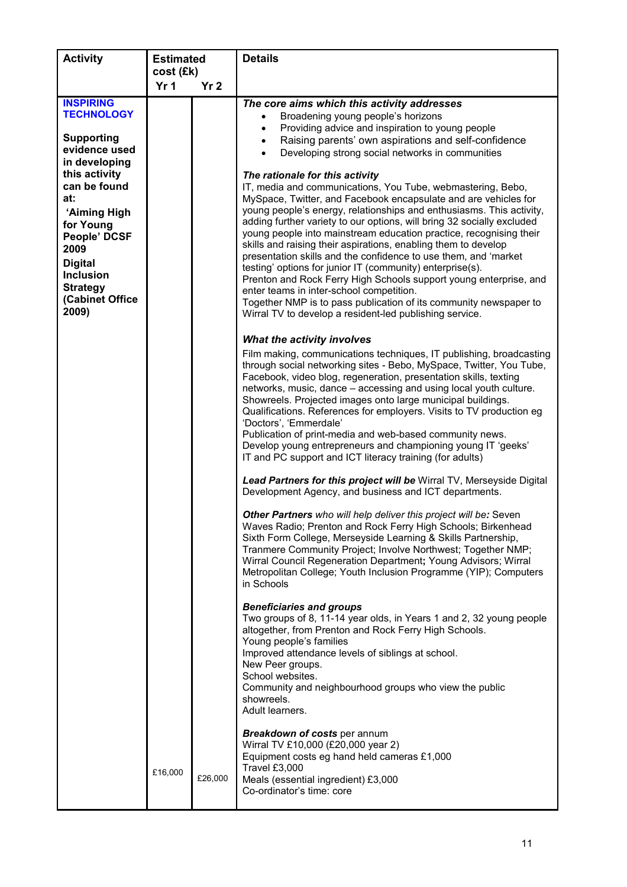| <b>Activity</b>                                                                                                                                                   | <b>Estimated</b> |                 | <b>Details</b>                                                                                                                                                                                                                                                                                                                                                                                                                                                                                                                                                                                                                                                                                                                                                                                                                                                                                                                                                                                                                                                                                                                                                                                                                       |
|-------------------------------------------------------------------------------------------------------------------------------------------------------------------|------------------|-----------------|--------------------------------------------------------------------------------------------------------------------------------------------------------------------------------------------------------------------------------------------------------------------------------------------------------------------------------------------------------------------------------------------------------------------------------------------------------------------------------------------------------------------------------------------------------------------------------------------------------------------------------------------------------------------------------------------------------------------------------------------------------------------------------------------------------------------------------------------------------------------------------------------------------------------------------------------------------------------------------------------------------------------------------------------------------------------------------------------------------------------------------------------------------------------------------------------------------------------------------------|
|                                                                                                                                                                   | cost (£k)        |                 |                                                                                                                                                                                                                                                                                                                                                                                                                                                                                                                                                                                                                                                                                                                                                                                                                                                                                                                                                                                                                                                                                                                                                                                                                                      |
|                                                                                                                                                                   | Yr <sub>1</sub>  | Yr <sub>2</sub> |                                                                                                                                                                                                                                                                                                                                                                                                                                                                                                                                                                                                                                                                                                                                                                                                                                                                                                                                                                                                                                                                                                                                                                                                                                      |
| <b>INSPIRING</b><br><b>TECHNOLOGY</b><br><b>Supporting</b><br>evidence used<br>in developing<br>this activity<br>can be found<br>at:<br>'Aiming High<br>for Young |                  |                 | The core aims which this activity addresses<br>Broadening young people's horizons<br>$\bullet$<br>Providing advice and inspiration to young people<br>$\bullet$<br>Raising parents' own aspirations and self-confidence<br>$\bullet$<br>Developing strong social networks in communities<br>$\bullet$<br>The rationale for this activity<br>IT, media and communications, You Tube, webmastering, Bebo,<br>MySpace, Twitter, and Facebook encapsulate and are vehicles for<br>young people's energy, relationships and enthusiasms. This activity,<br>adding further variety to our options, will bring 32 socially excluded                                                                                                                                                                                                                                                                                                                                                                                                                                                                                                                                                                                                         |
| People' DCSF<br>2009<br><b>Digital</b><br><b>Inclusion</b><br><b>Strategy</b><br>(Cabinet Office<br>2009)                                                         |                  |                 | young people into mainstream education practice, recognising their<br>skills and raising their aspirations, enabling them to develop<br>presentation skills and the confidence to use them, and 'market<br>testing' options for junior IT (community) enterprise(s).<br>Prenton and Rock Ferry High Schools support young enterprise, and<br>enter teams in inter-school competition.<br>Together NMP is to pass publication of its community newspaper to<br>Wirral TV to develop a resident-led publishing service.                                                                                                                                                                                                                                                                                                                                                                                                                                                                                                                                                                                                                                                                                                                |
|                                                                                                                                                                   |                  |                 | What the activity involves<br>Film making, communications techniques, IT publishing, broadcasting<br>through social networking sites - Bebo, MySpace, Twitter, You Tube,<br>Facebook, video blog, regeneration, presentation skills, texting<br>networks, music, dance - accessing and using local youth culture.<br>Showreels. Projected images onto large municipal buildings.<br>Qualifications. References for employers. Visits to TV production eg<br>'Doctors', 'Emmerdale'<br>Publication of print-media and web-based community news.<br>Develop young entrepreneurs and championing young IT 'geeks'<br>IT and PC support and ICT literacy training (for adults)<br>Lead Partners for this project will be Wirral TV, Merseyside Digital<br>Development Agency, and business and ICT departments.<br>Other Partners who will help deliver this project will be: Seven<br>Waves Radio; Prenton and Rock Ferry High Schools; Birkenhead<br>Sixth Form College, Merseyside Learning & Skills Partnership,<br>Tranmere Community Project; Involve Northwest; Together NMP;<br>Wirral Council Regeneration Department; Young Advisors; Wirral<br>Metropolitan College; Youth Inclusion Programme (YIP); Computers<br>in Schools |
|                                                                                                                                                                   |                  |                 | <b>Beneficiaries and groups</b><br>Two groups of 8, 11-14 year olds, in Years 1 and 2, 32 young people<br>altogether, from Prenton and Rock Ferry High Schools.<br>Young people's families<br>Improved attendance levels of siblings at school.<br>New Peer groups.<br>School websites.<br>Community and neighbourhood groups who view the public<br>showreels.<br>Adult learners.<br><b>Breakdown of costs per annum</b><br>Wirral TV £10,000 (£20,000 year 2)                                                                                                                                                                                                                                                                                                                                                                                                                                                                                                                                                                                                                                                                                                                                                                      |
|                                                                                                                                                                   | £16,000          | £26,000         | Equipment costs eg hand held cameras £1,000<br>Travel £3,000<br>Meals (essential ingredient) £3,000<br>Co-ordinator's time: core                                                                                                                                                                                                                                                                                                                                                                                                                                                                                                                                                                                                                                                                                                                                                                                                                                                                                                                                                                                                                                                                                                     |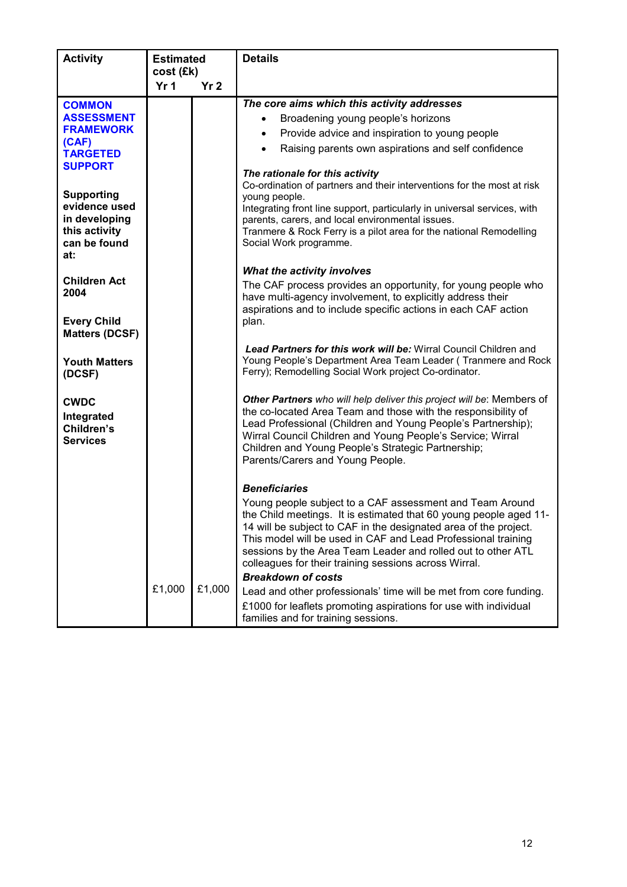| <b>Activity</b>                                                                             | <b>Estimated</b><br>cost (£k) |                 | <b>Details</b>                                                                                                                                                                                                                                                                                                                                                                              |
|---------------------------------------------------------------------------------------------|-------------------------------|-----------------|---------------------------------------------------------------------------------------------------------------------------------------------------------------------------------------------------------------------------------------------------------------------------------------------------------------------------------------------------------------------------------------------|
|                                                                                             | Yr <sub>1</sub>               | Yr <sub>2</sub> |                                                                                                                                                                                                                                                                                                                                                                                             |
| <b>COMMON</b><br><b>ASSESSMENT</b><br><b>FRAMEWORK</b>                                      |                               |                 | The core aims which this activity addresses<br>Broadening young people's horizons<br>Provide advice and inspiration to young people<br>$\bullet$                                                                                                                                                                                                                                            |
| (CAF)<br><b>TARGETED</b><br><b>SUPPORT</b>                                                  |                               |                 | Raising parents own aspirations and self confidence                                                                                                                                                                                                                                                                                                                                         |
| <b>Supporting</b><br>evidence used<br>in developing<br>this activity<br>can be found<br>at: |                               |                 | The rationale for this activity<br>Co-ordination of partners and their interventions for the most at risk<br>young people.<br>Integrating front line support, particularly in universal services, with<br>parents, carers, and local environmental issues.<br>Tranmere & Rock Ferry is a pilot area for the national Remodelling<br>Social Work programme.                                  |
| <b>Children Act</b><br>2004<br><b>Every Child</b>                                           |                               |                 | What the activity involves<br>The CAF process provides an opportunity, for young people who<br>have multi-agency involvement, to explicitly address their<br>aspirations and to include specific actions in each CAF action<br>plan.                                                                                                                                                        |
| <b>Matters (DCSF)</b>                                                                       |                               |                 |                                                                                                                                                                                                                                                                                                                                                                                             |
| <b>Youth Matters</b><br>(DCSF)                                                              |                               |                 | <b>Lead Partners for this work will be: Wirral Council Children and</b><br>Young People's Department Area Team Leader (Tranmere and Rock<br>Ferry); Remodelling Social Work project Co-ordinator.                                                                                                                                                                                           |
| <b>CWDC</b><br>Integrated<br>Children's<br><b>Services</b>                                  |                               |                 | Other Partners who will help deliver this project will be: Members of<br>the co-located Area Team and those with the responsibility of<br>Lead Professional (Children and Young People's Partnership);<br>Wirral Council Children and Young People's Service; Wirral<br>Children and Young People's Strategic Partnership;<br>Parents/Carers and Young People.                              |
|                                                                                             |                               |                 | <b>Beneficiaries</b>                                                                                                                                                                                                                                                                                                                                                                        |
|                                                                                             |                               |                 | Young people subject to a CAF assessment and Team Around<br>the Child meetings. It is estimated that 60 young people aged 11-<br>14 will be subject to CAF in the designated area of the project.<br>This model will be used in CAF and Lead Professional training<br>sessions by the Area Team Leader and rolled out to other ATL<br>colleagues for their training sessions across Wirral. |
|                                                                                             | £1,000                        | £1,000          | <b>Breakdown of costs</b><br>Lead and other professionals' time will be met from core funding.<br>£1000 for leaflets promoting aspirations for use with individual<br>families and for training sessions.                                                                                                                                                                                   |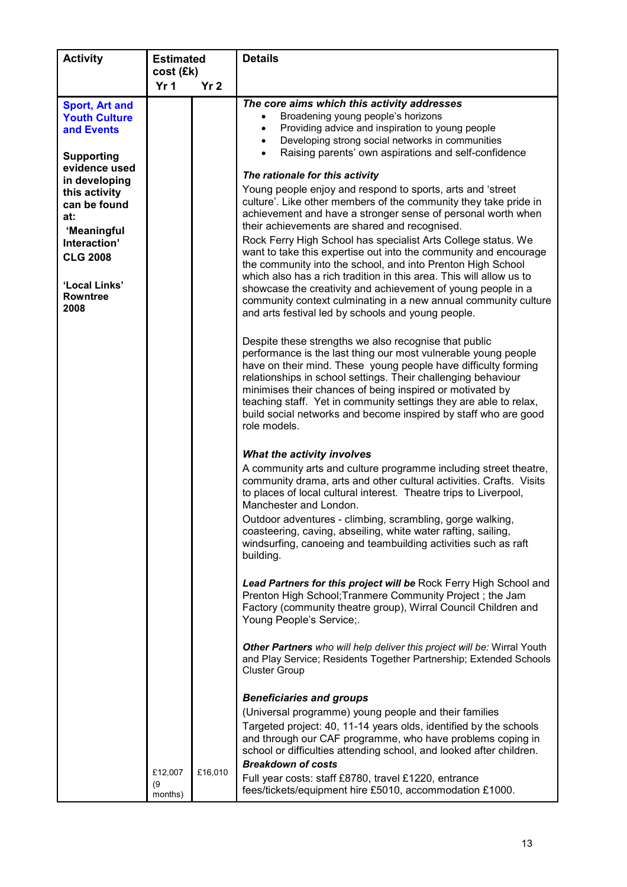| <b>Activity</b>                                                                                                                               | <b>Estimated</b>             |                 | <b>Details</b>                                                                                                                                                                                                                                                                                                                                                                                                                                                                                                                                              |
|-----------------------------------------------------------------------------------------------------------------------------------------------|------------------------------|-----------------|-------------------------------------------------------------------------------------------------------------------------------------------------------------------------------------------------------------------------------------------------------------------------------------------------------------------------------------------------------------------------------------------------------------------------------------------------------------------------------------------------------------------------------------------------------------|
|                                                                                                                                               | cost (£k)<br>Yr <sub>1</sub> |                 |                                                                                                                                                                                                                                                                                                                                                                                                                                                                                                                                                             |
|                                                                                                                                               |                              | Yr <sub>2</sub> |                                                                                                                                                                                                                                                                                                                                                                                                                                                                                                                                                             |
| <b>Sport, Art and</b><br><b>Youth Culture</b><br>and Events                                                                                   |                              |                 | The core aims which this activity addresses<br>Broadening young people's horizons<br>$\bullet$<br>Providing advice and inspiration to young people<br>$\bullet$<br>Developing strong social networks in communities<br>$\bullet$                                                                                                                                                                                                                                                                                                                            |
| <b>Supporting</b><br>evidence used<br>in developing<br>this activity<br>can be found<br>at:<br>'Meaningful<br>Interaction'<br><b>CLG 2008</b> |                              |                 | Raising parents' own aspirations and self-confidence<br>$\bullet$<br>The rationale for this activity<br>Young people enjoy and respond to sports, arts and 'street<br>culture'. Like other members of the community they take pride in<br>achievement and have a stronger sense of personal worth when<br>their achievements are shared and recognised.<br>Rock Ferry High School has specialist Arts College status. We<br>want to take this expertise out into the community and encourage<br>the community into the school, and into Prenton High School |
| 'Local Links'<br><b>Rowntree</b><br>2008                                                                                                      |                              |                 | which also has a rich tradition in this area. This will allow us to<br>showcase the creativity and achievement of young people in a<br>community context culminating in a new annual community culture<br>and arts festival led by schools and young people.                                                                                                                                                                                                                                                                                                |
|                                                                                                                                               |                              |                 | Despite these strengths we also recognise that public<br>performance is the last thing our most vulnerable young people<br>have on their mind. These young people have difficulty forming<br>relationships in school settings. Their challenging behaviour<br>minimises their chances of being inspired or motivated by<br>teaching staff. Yet in community settings they are able to relax,<br>build social networks and become inspired by staff who are good<br>role models.                                                                             |
|                                                                                                                                               |                              |                 | What the activity involves<br>A community arts and culture programme including street theatre,<br>community drama, arts and other cultural activities. Crafts. Visits<br>to places of local cultural interest. Theatre trips to Liverpool,<br>Manchester and London.<br>Outdoor adventures - climbing, scrambling, gorge walking,<br>coasteering, caving, abseiling, white water rafting, sailing,<br>windsurfing, canoeing and teambuilding activities such as raft<br>building.                                                                           |
|                                                                                                                                               |                              |                 | Lead Partners for this project will be Rock Ferry High School and<br>Prenton High School; Tranmere Community Project; the Jam<br>Factory (community theatre group), Wirral Council Children and<br>Young People's Service;.                                                                                                                                                                                                                                                                                                                                 |
|                                                                                                                                               |                              |                 | Other Partners who will help deliver this project will be: Wirral Youth<br>and Play Service; Residents Together Partnership; Extended Schools<br><b>Cluster Group</b>                                                                                                                                                                                                                                                                                                                                                                                       |
|                                                                                                                                               | £12,007<br>(9)<br>months)    | £16,010         | <b>Beneficiaries and groups</b><br>(Universal programme) young people and their families<br>Targeted project: 40, 11-14 years olds, identified by the schools<br>and through our CAF programme, who have problems coping in<br>school or difficulties attending school, and looked after children.<br><b>Breakdown of costs</b><br>Full year costs: staff £8780, travel £1220, entrance<br>fees/tickets/equipment hire £5010, accommodation £1000.                                                                                                          |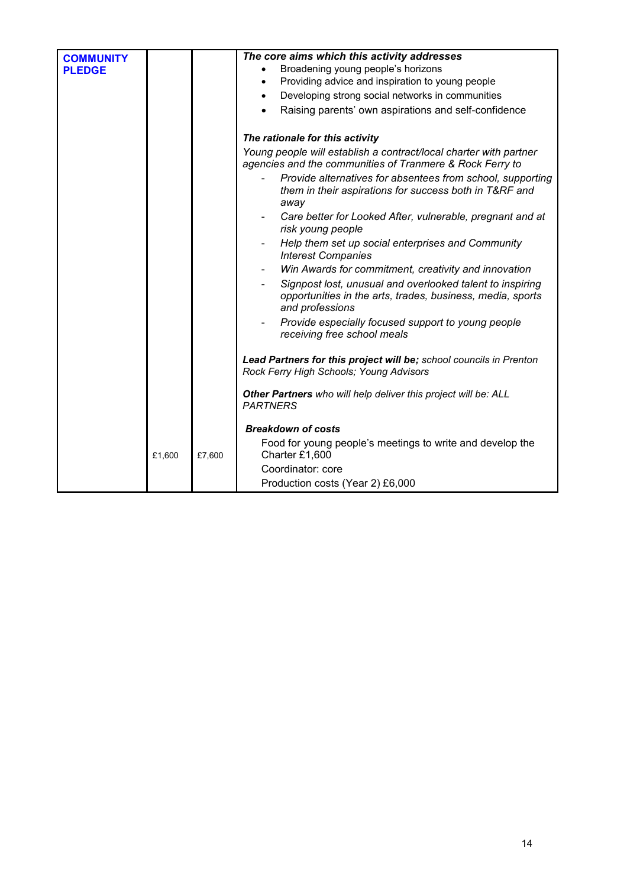| <b>COMMUNITY</b> |        |        | The core aims which this activity addresses                                                                                                |
|------------------|--------|--------|--------------------------------------------------------------------------------------------------------------------------------------------|
| <b>PLEDGE</b>    |        |        | Broadening young people's horizons                                                                                                         |
|                  |        |        | Providing advice and inspiration to young people<br>$\bullet$                                                                              |
|                  |        |        | Developing strong social networks in communities<br>$\bullet$                                                                              |
|                  |        |        | Raising parents' own aspirations and self-confidence<br>$\bullet$                                                                          |
|                  |        |        | The rationale for this activity                                                                                                            |
|                  |        |        | Young people will establish a contract/local charter with partner<br>agencies and the communities of Tranmere & Rock Ferry to              |
|                  |        |        | Provide alternatives for absentees from school, supporting<br>them in their aspirations for success both in T&RF and<br>away               |
|                  |        |        | Care better for Looked After, vulnerable, pregnant and at<br>$\overline{\phantom{a}}$<br>risk young people                                 |
|                  |        |        | Help them set up social enterprises and Community<br><b>Interest Companies</b>                                                             |
|                  |        |        | Win Awards for commitment, creativity and innovation<br>$\overline{\phantom{a}}$                                                           |
|                  |        |        | Signpost lost, unusual and overlooked talent to inspiring<br>opportunities in the arts, trades, business, media, sports<br>and professions |
|                  |        |        | Provide especially focused support to young people<br>$\blacksquare$<br>receiving free school meals                                        |
|                  |        |        | Lead Partners for this project will be; school councils in Prenton<br>Rock Ferry High Schools; Young Advisors                              |
|                  |        |        | Other Partners who will help deliver this project will be: ALL<br><b>PARTNERS</b>                                                          |
|                  |        |        | <b>Breakdown of costs</b>                                                                                                                  |
|                  | £1,600 | £7,600 | Food for young people's meetings to write and develop the<br>Charter £1,600                                                                |
|                  |        |        | Coordinator: core                                                                                                                          |
|                  |        |        | Production costs (Year 2) £6,000                                                                                                           |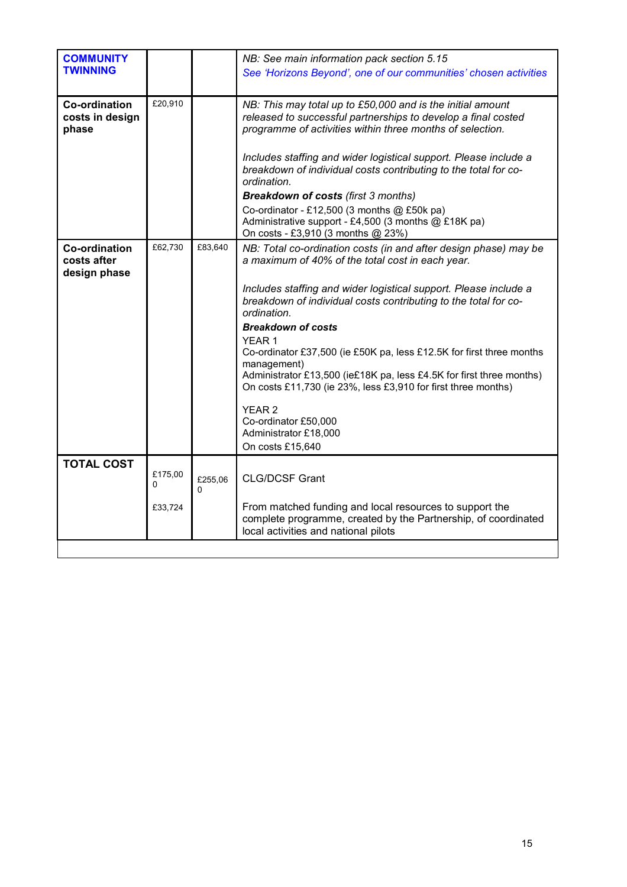| <b>COMMUNITY</b><br><b>TWINNING</b>                 |              |              | NB: See main information pack section 5.15<br>See 'Horizons Beyond', one of our communities' chosen activities                                                                                                                                                                                                                                                                                                                                                                                                                                                                                                                                         |
|-----------------------------------------------------|--------------|--------------|--------------------------------------------------------------------------------------------------------------------------------------------------------------------------------------------------------------------------------------------------------------------------------------------------------------------------------------------------------------------------------------------------------------------------------------------------------------------------------------------------------------------------------------------------------------------------------------------------------------------------------------------------------|
| <b>Co-ordination</b><br>costs in design<br>phase    | £20,910      |              | NB: This may total up to £50,000 and is the initial amount<br>released to successful partnerships to develop a final costed<br>programme of activities within three months of selection.<br>Includes staffing and wider logistical support. Please include a<br>breakdown of individual costs contributing to the total for co-<br>ordination.<br><b>Breakdown of costs (first 3 months)</b><br>Co-ordinator - £12,500 (3 months @ £50k pa)                                                                                                                                                                                                            |
|                                                     |              |              | Administrative support - £4,500 (3 months @ £18K pa)<br>On costs - £3,910 (3 months @ 23%)                                                                                                                                                                                                                                                                                                                                                                                                                                                                                                                                                             |
| <b>Co-ordination</b><br>costs after<br>design phase | £62,730      | £83,640      | NB: Total co-ordination costs (in and after design phase) may be<br>a maximum of 40% of the total cost in each year.<br>Includes staffing and wider logistical support. Please include a<br>breakdown of individual costs contributing to the total for co-<br>ordination.<br><b>Breakdown of costs</b><br>YEAR <sub>1</sub><br>Co-ordinator £37,500 (ie £50K pa, less £12.5K for first three months<br>management)<br>Administrator £13,500 (ie£18K pa, less £4.5K for first three months)<br>On costs £11,730 (ie 23%, less £3,910 for first three months)<br>YEAR <sub>2</sub><br>Co-ordinator £50,000<br>Administrator £18,000<br>On costs £15,640 |
| <b>TOTAL COST</b>                                   | £175,00<br>0 | £255,06<br>0 | <b>CLG/DCSF Grant</b>                                                                                                                                                                                                                                                                                                                                                                                                                                                                                                                                                                                                                                  |
|                                                     | £33,724      |              | From matched funding and local resources to support the<br>complete programme, created by the Partnership, of coordinated<br>local activities and national pilots                                                                                                                                                                                                                                                                                                                                                                                                                                                                                      |
|                                                     |              |              |                                                                                                                                                                                                                                                                                                                                                                                                                                                                                                                                                                                                                                                        |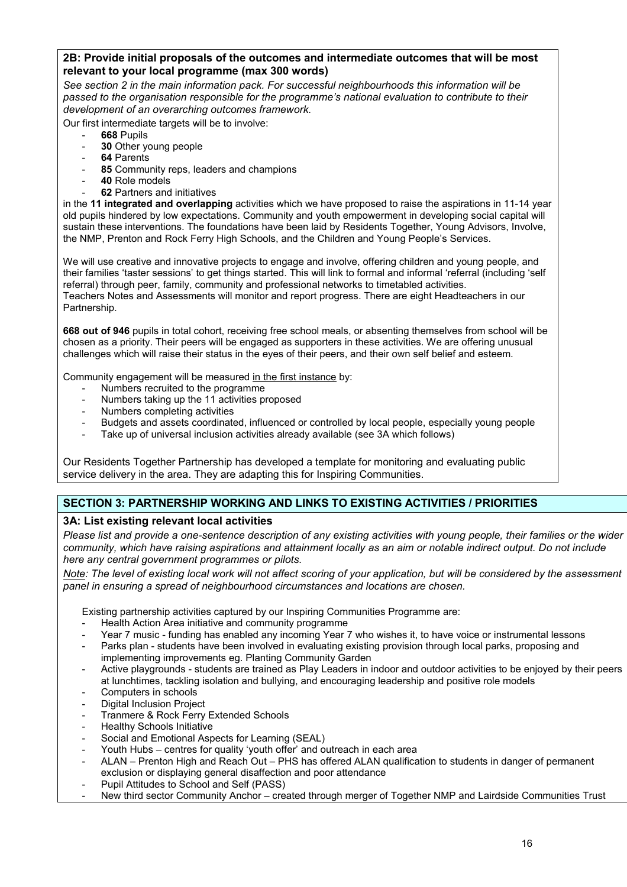2B: Provide initial proposals of the outcomes and intermediate outcomes that will be most relevant to your local programme (max 300 words)

See section 2 in the main information pack. For successful neighbourhoods this information will be passed to the organisation responsible for the programme's national evaluation to contribute to their development of an overarching outcomes framework.

Our first intermediate targets will be to involve:

- 668 Pupils
- 30 Other young people
- 64 Parents
- 85 Community reps, leaders and champions
- 40 Role models
- 62 Partners and initiatives

in the 11 integrated and overlapping activities which we have proposed to raise the aspirations in 11-14 year old pupils hindered by low expectations. Community and youth empowerment in developing social capital will sustain these interventions. The foundations have been laid by Residents Together, Young Advisors, Involve, the NMP, Prenton and Rock Ferry High Schools, and the Children and Young People's Services.

We will use creative and innovative projects to engage and involve, offering children and young people, and their families 'taster sessions' to get things started. This will link to formal and informal 'referral (including 'self referral) through peer, family, community and professional networks to timetabled activities. Teachers Notes and Assessments will monitor and report progress. There are eight Headteachers in our Partnership.

668 out of 946 pupils in total cohort, receiving free school meals, or absenting themselves from school will be chosen as a priority. Their peers will be engaged as supporters in these activities. We are offering unusual challenges which will raise their status in the eyes of their peers, and their own self belief and esteem.

Community engagement will be measured in the first instance by:

- Numbers recruited to the programme
- Numbers taking up the 11 activities proposed
- Numbers completing activities
- Budgets and assets coordinated, influenced or controlled by local people, especially young people
- Take up of universal inclusion activities already available (see 3A which follows)

Our Residents Together Partnership has developed a template for monitoring and evaluating public service delivery in the area. They are adapting this for Inspiring Communities.

## SECTION 3: PARTNERSHIP WORKING AND LINKS TO EXISTING ACTIVITIES / PRIORITIES

### 3A: List existing relevant local activities

Please list and provide a one-sentence description of any existing activities with young people, their families or the wider community, which have raising aspirations and attainment locally as an aim or notable indirect output. Do not include here any central government programmes or pilots.

Note: The level of existing local work will not affect scoring of your application, but will be considered by the assessment panel in ensuring a spread of neighbourhood circumstances and locations are chosen.

Existing partnership activities captured by our Inspiring Communities Programme are:

- Health Action Area initiative and community programme
- Year 7 music funding has enabled any incoming Year 7 who wishes it, to have voice or instrumental lessons
- Parks plan students have been involved in evaluating existing provision through local parks, proposing and implementing improvements eg. Planting Community Garden
- Active playgrounds students are trained as Play Leaders in indoor and outdoor activities to be enjoyed by their peers at lunchtimes, tackling isolation and bullying, and encouraging leadership and positive role models
- Computers in schools
- Digital Inclusion Project
- Tranmere & Rock Ferry Extended Schools
- Healthy Schools Initiative
- Social and Emotional Aspects for Learning (SEAL)
- Youth Hubs centres for quality 'youth offer' and outreach in each area
- ALAN Prenton High and Reach Out PHS has offered ALAN qualification to students in danger of permanent exclusion or displaying general disaffection and poor attendance
- Pupil Attitudes to School and Self (PASS)
- New third sector Community Anchor created through merger of Together NMP and Lairdside Communities Trust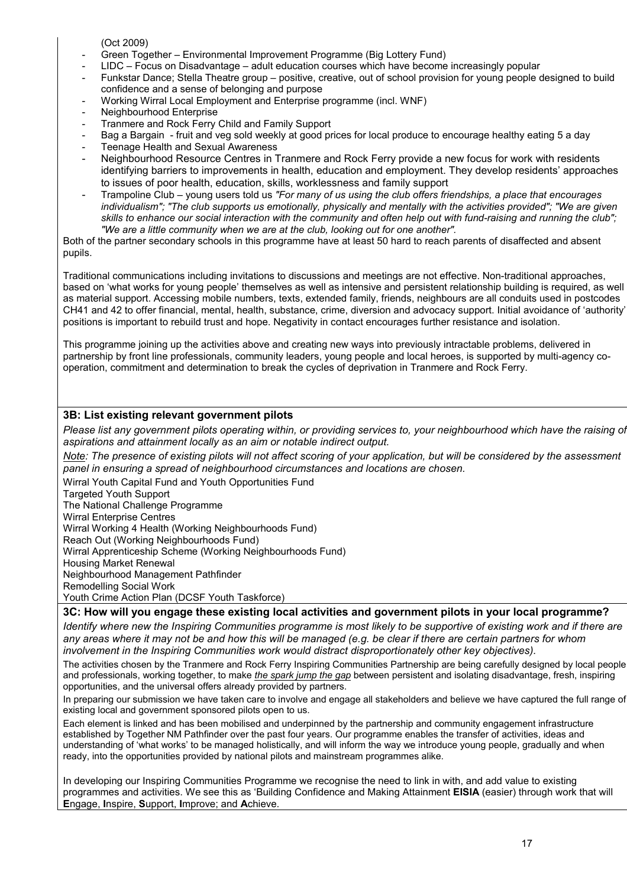(Oct 2009)

- Green Together Environmental Improvement Programme (Big Lottery Fund)
- LIDC Focus on Disadvantage adult education courses which have become increasingly popular
- Funkstar Dance; Stella Theatre group positive, creative, out of school provision for young people designed to build confidence and a sense of belonging and purpose
- Working Wirral Local Employment and Enterprise programme (incl. WNF)
- Neighbourhood Enterprise
- Tranmere and Rock Ferry Child and Family Support
- Bag a Bargain fruit and veg sold weekly at good prices for local produce to encourage healthy eating 5 a day
- Teenage Health and Sexual Awareness
- Neighbourhood Resource Centres in Tranmere and Rock Ferry provide a new focus for work with residents identifying barriers to improvements in health, education and employment. They develop residents' approaches to issues of poor health, education, skills, worklessness and family support
- Trampoline Club young users told us "For many of us using the club offers friendships, a place that encourages individualism"; "The club supports us emotionally, physically and mentally with the activities provided"; "We are given skills to enhance our social interaction with the community and often help out with fund-raising and running the club"; "We are a little community when we are at the club, looking out for one another".

Both of the partner secondary schools in this programme have at least 50 hard to reach parents of disaffected and absent pupils.

Traditional communications including invitations to discussions and meetings are not effective. Non-traditional approaches, based on 'what works for young people' themselves as well as intensive and persistent relationship building is required, as well as material support. Accessing mobile numbers, texts, extended family, friends, neighbours are all conduits used in postcodes CH41 and 42 to offer financial, mental, health, substance, crime, diversion and advocacy support. Initial avoidance of 'authority' positions is important to rebuild trust and hope. Negativity in contact encourages further resistance and isolation.

This programme joining up the activities above and creating new ways into previously intractable problems, delivered in partnership by front line professionals, community leaders, young people and local heroes, is supported by multi-agency cooperation, commitment and determination to break the cycles of deprivation in Tranmere and Rock Ferry.

### 3B: List existing relevant government pilots

Please list any government pilots operating within, or providing services to, your neighbourhood which have the raising of aspirations and attainment locally as an aim or notable indirect output.

Note: The presence of existing pilots will not affect scoring of your application, but will be considered by the assessment panel in ensuring a spread of neighbourhood circumstances and locations are chosen.

Wirral Youth Capital Fund and Youth Opportunities Fund

Targeted Youth Support

The National Challenge Programme

Wirral Enterprise Centres

Wirral Working 4 Health (Working Neighbourhoods Fund)

Reach Out (Working Neighbourhoods Fund)

Wirral Apprenticeship Scheme (Working Neighbourhoods Fund)

Housing Market Renewal

Neighbourhood Management Pathfinder

Remodelling Social Work

Youth Crime Action Plan (DCSF Youth Taskforce)

#### 3C: How will you engage these existing local activities and government pilots in your local programme?

Identify where new the Inspiring Communities programme is most likely to be supportive of existing work and if there are any areas where it may not be and how this will be managed (e.g. be clear if there are certain partners for whom involvement in the Inspiring Communities work would distract disproportionately other key objectives).

The activities chosen by the Tranmere and Rock Ferry Inspiring Communities Partnership are being carefully designed by local people and professionals, working together, to make the spark jump the gap between persistent and isolating disadvantage, fresh, inspiring opportunities, and the universal offers already provided by partners.

In preparing our submission we have taken care to involve and engage all stakeholders and believe we have captured the full range of existing local and government sponsored pilots open to us.

Each element is linked and has been mobilised and underpinned by the partnership and community engagement infrastructure established by Together NM Pathfinder over the past four years. Our programme enables the transfer of activities, ideas and understanding of 'what works' to be managed holistically, and will inform the way we introduce young people, gradually and when ready, into the opportunities provided by national pilots and mainstream programmes alike.

In developing our Inspiring Communities Programme we recognise the need to link in with, and add value to existing programmes and activities. We see this as 'Building Confidence and Making Attainment EISIA (easier) through work that will Engage, Inspire, Support, Improve; and Achieve.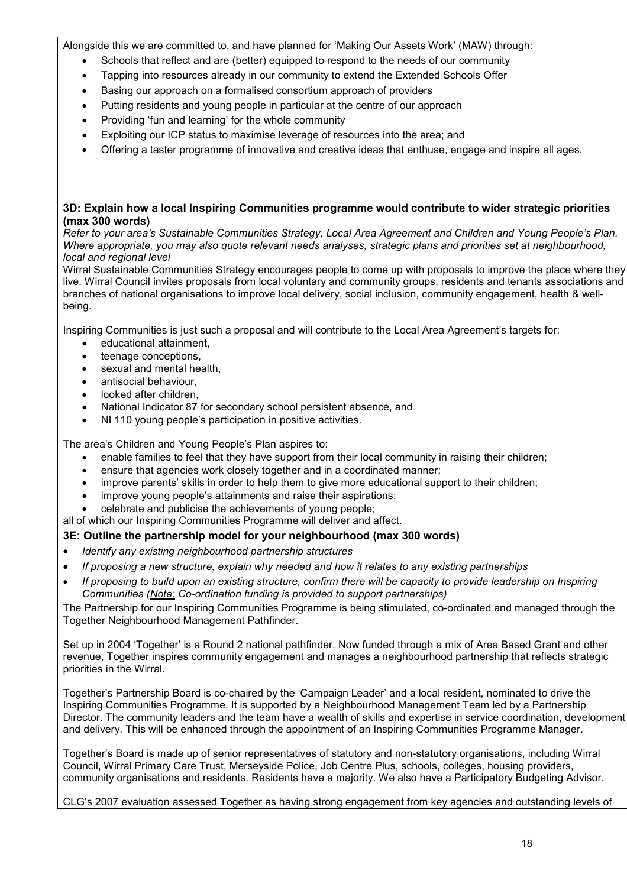Alongside this we are committed to, and have planned for 'Making Our Assets Work' (MAW) through:

- Schools that reflect and are (better) equipped to respond to the needs of our community
- Tapping into resources already in our community to extend the Extended Schools Offer
- Basing our approach on a formalised consortium approach of providers
- Putting residents and young people in particular at the centre of our approach
- Providing 'fun and learning' for the whole community
- Exploiting our ICP status to maximise leverage of resources into the area; and
- Offering a taster programme of innovative and creative ideas that enthuse, engage and inspire all ages.

#### 3D: Explain how a local Inspiring Communities programme would contribute to wider strategic priorities (max 300 words)

Refer to your area's Sustainable Communities Strategy, Local Area Agreement and Children and Young People's Plan. Where appropriate, you may also quote relevant needs analyses, strategic plans and priorities set at neighbourhood, local and regional level

Wirral Sustainable Communities Strategy encourages people to come up with proposals to improve the place where they live. Wirral Council invites proposals from local voluntary and community groups, residents and tenants associations and branches of national organisations to improve local delivery, social inclusion, community engagement, health & wellbeing.

Inspiring Communities is just such a proposal and will contribute to the Local Area Agreement's targets for:

- educational attainment,
- teenage conceptions,
- sexual and mental health.
- antisocial behaviour,
- looked after children.
- National Indicator 87 for secondary school persistent absence, and
- NI 110 young people's participation in positive activities.

The area's Children and Young People's Plan aspires to:

- enable families to feel that they have support from their local community in raising their children;
- ensure that agencies work closely together and in a coordinated manner;
- improve parents' skills in order to help them to give more educational support to their children;
- improve young people's attainments and raise their aspirations;
- celebrate and publicise the achievements of young people;
- all of which our Inspiring Communities Programme will deliver and affect.

### 3E: Outline the partnership model for your neighbourhood (max 300 words)

- Identify any existing neighbourhood partnership structures
- If proposing a new structure, explain why needed and how it relates to any existing partnerships
- If proposing to build upon an existing structure, confirm there will be capacity to provide leadership on Inspiring Communities (Note: Co-ordination funding is provided to support partnerships)

The Partnership for our Inspiring Communities Programme is being stimulated, co-ordinated and managed through the Together Neighbourhood Management Pathfinder.

Set up in 2004 'Together' is a Round 2 national pathfinder. Now funded through a mix of Area Based Grant and other revenue, Together inspires community engagement and manages a neighbourhood partnership that reflects strategic priorities in the Wirral.

Together's Partnership Board is co-chaired by the 'Campaign Leader' and a local resident, nominated to drive the Inspiring Communities Programme. It is supported by a Neighbourhood Management Team led by a Partnership Director. The community leaders and the team have a wealth of skills and expertise in service coordination, development and delivery. This will be enhanced through the appointment of an Inspiring Communities Programme Manager.

Together's Board is made up of senior representatives of statutory and non-statutory organisations, including Wirral Council, Wirral Primary Care Trust, Merseyside Police, Job Centre Plus, schools, colleges, housing providers, community organisations and residents. Residents have a majority. We also have a Participatory Budgeting Advisor.

CLG's 2007 evaluation assessed Together as having strong engagement from key agencies and outstanding levels of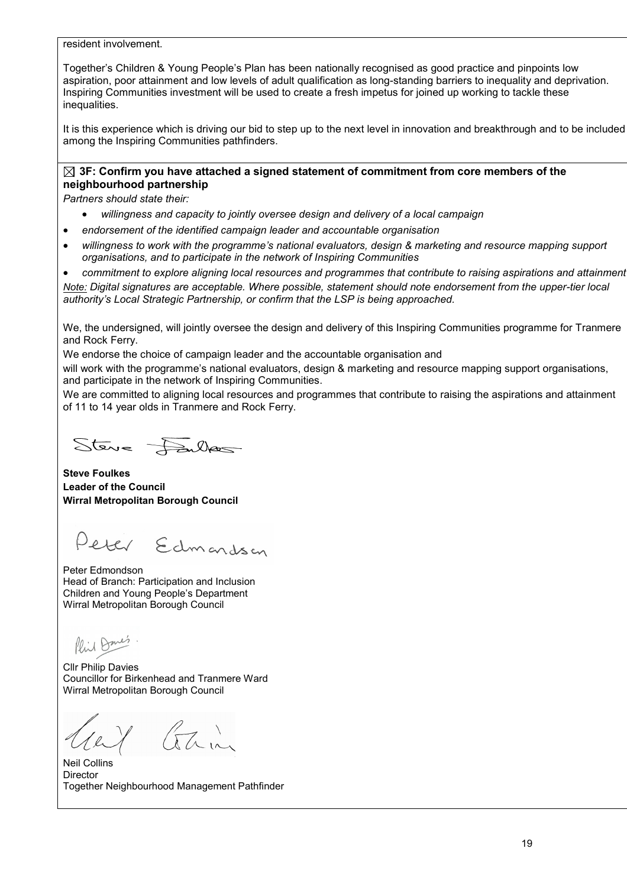resident involvement.

Together's Children & Young People's Plan has been nationally recognised as good practice and pinpoints low aspiration, poor attainment and low levels of adult qualification as long-standing barriers to inequality and deprivation. Inspiring Communities investment will be used to create a fresh impetus for joined up working to tackle these inequalities.

It is this experience which is driving our bid to step up to the next level in innovation and breakthrough and to be included among the Inspiring Communities pathfinders.

### $\boxtimes$  3F: Confirm vou have attached a signed statement of commitment from core members of the neighbourhood partnership

Partners should state their:

- willingness and capacity to jointly oversee design and delivery of a local campaign
- endorsement of the identified campaign leader and accountable organisation
- willingness to work with the programme's national evaluators, design & marketing and resource mapping support organisations, and to participate in the network of Inspiring Communities

• commitment to explore aligning local resources and programmes that contribute to raising aspirations and attainment Note: Digital signatures are acceptable. Where possible, statement should note endorsement from the upper-tier local authority's Local Strategic Partnership, or confirm that the LSP is being approached.

We, the undersigned, will jointly oversee the design and delivery of this Inspiring Communities programme for Tranmere and Rock Ferry.

We endorse the choice of campaign leader and the accountable organisation and

will work with the programme's national evaluators, design & marketing and resource mapping support organisations, and participate in the network of Inspiring Communities.

We are committed to aligning local resources and programmes that contribute to raising the aspirations and attainment of 11 to 14 year olds in Tranmere and Rock Ferry.

Steve Failes

Steve Foulkes Leader of the Council Wirral Metropolitan Borough Council

Peter Edmondson

Peter Edmondson Head of Branch: Participation and Inclusion Children and Young People's Department Wirral Metropolitan Borough Council

Phil Dane's

Cllr Philip Davies Councillor for Birkenhead and Tranmere Ward Wirral Metropolitan Borough Council

y Gain

Neil Collins **Director** Together Neighbourhood Management Pathfinder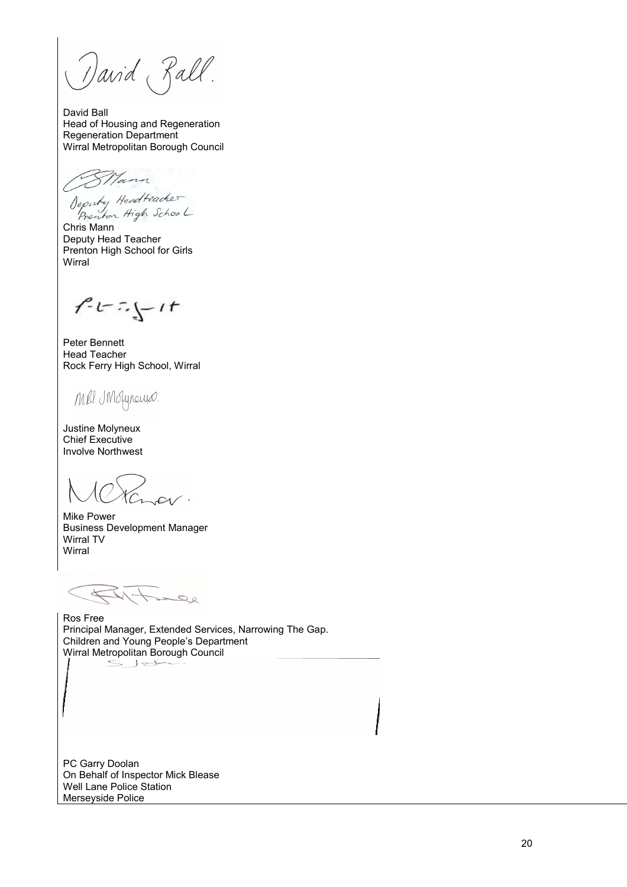David Rall.

David Ball Head of Housing and Regeneration Regeneration Department Wirral Metropolitan Borough Council

Mann Deputy Headteacher<br>Prenton High School

Chris Mann Deputy Head Teacher Prenton High School for Girls Wirral

 $7 - 5 - 11$ 

Peter Bennett Head Teacher Rock Ferry High School, Wirral

Mes IMofyneurs.

Justine Molyneux Chief Executive Involve Northwest

Mike Power Business Development Manager Wirral TV Wirral

 $\overline{\Delta}$ inee

Ros Free Principal Manager, Extended Services, Narrowing The Gap. Children and Young People's Department Wirral Metropolitan Borough Council

PC Garry Doolan On Behalf of Inspector Mick Blease Well Lane Police Station Merseyside Police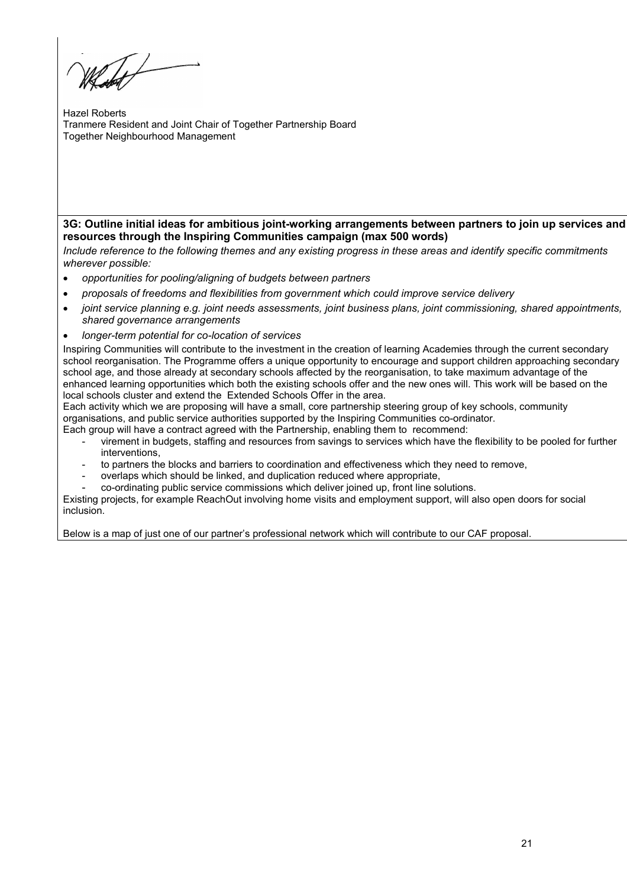Hazel Roberts Tranmere Resident and Joint Chair of Together Partnership Board Together Neighbourhood Management

3G: Outline initial ideas for ambitious joint-working arrangements between partners to join up services and resources through the Inspiring Communities campaign (max 500 words)

Include reference to the following themes and any existing progress in these areas and identify specific commitments wherever possible:

- opportunities for pooling/aligning of budgets between partners
- proposals of freedoms and flexibilities from government which could improve service delivery
- joint service planning e.g. joint needs assessments, joint business plans, joint commissioning, shared appointments, shared governance arrangements
- longer-term potential for co-location of services

Inspiring Communities will contribute to the investment in the creation of learning Academies through the current secondary school reorganisation. The Programme offers a unique opportunity to encourage and support children approaching secondary school age, and those already at secondary schools affected by the reorganisation, to take maximum advantage of the enhanced learning opportunities which both the existing schools offer and the new ones will. This work will be based on the local schools cluster and extend the Extended Schools Offer in the area.

Each activity which we are proposing will have a small, core partnership steering group of key schools, community organisations, and public service authorities supported by the Inspiring Communities co-ordinator.

Each group will have a contract agreed with the Partnership, enabling them to recommend:

- virement in budgets, staffing and resources from savings to services which have the flexibility to be pooled for further interventions,
- to partners the blocks and barriers to coordination and effectiveness which they need to remove,
- overlaps which should be linked, and duplication reduced where appropriate,
- co-ordinating public service commissions which deliver joined up, front line solutions.

Existing projects, for example ReachOut involving home visits and employment support, will also open doors for social inclusion.

Below is a map of just one of our partner's professional network which will contribute to our CAF proposal.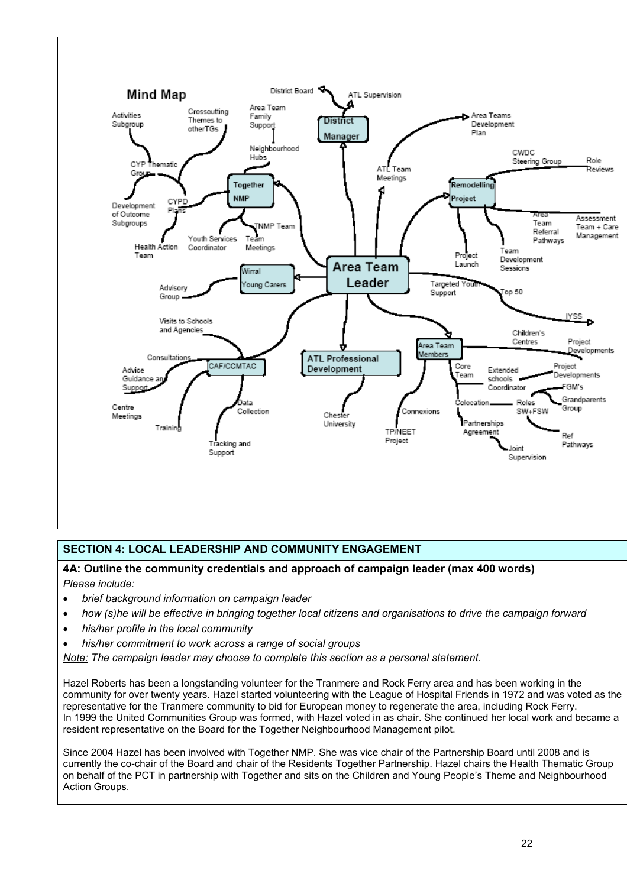

# SECTION 4: LOCAL LEADERSHIP AND COMMUNITY ENGAGEMENT

### 4A: Outline the community credentials and approach of campaign leader (max 400 words) Please include:

- brief background information on campaign leader
- how (s)he will be effective in bringing together local citizens and organisations to drive the campaign forward
- his/her profile in the local community
- his/her commitment to work across a range of social groups

Note: The campaign leader may choose to complete this section as a personal statement.

Hazel Roberts has been a longstanding volunteer for the Tranmere and Rock Ferry area and has been working in the community for over twenty years. Hazel started volunteering with the League of Hospital Friends in 1972 and was voted as the representative for the Tranmere community to bid for European money to regenerate the area, including Rock Ferry. In 1999 the United Communities Group was formed, with Hazel voted in as chair. She continued her local work and became a resident representative on the Board for the Together Neighbourhood Management pilot.

Since 2004 Hazel has been involved with Together NMP. She was vice chair of the Partnership Board until 2008 and is currently the co-chair of the Board and chair of the Residents Together Partnership. Hazel chairs the Health Thematic Group on behalf of the PCT in partnership with Together and sits on the Children and Young People's Theme and Neighbourhood Action Groups.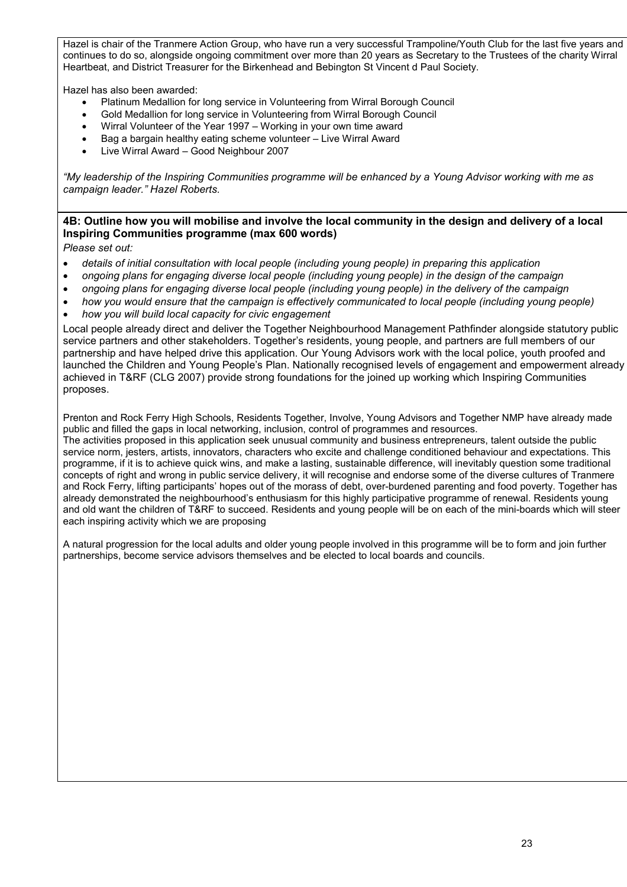Hazel is chair of the Tranmere Action Group, who have run a very successful Trampoline/Youth Club for the last five years and continues to do so, alongside ongoing commitment over more than 20 years as Secretary to the Trustees of the charity Wirral Heartbeat, and District Treasurer for the Birkenhead and Bebington St Vincent d Paul Society.

Hazel has also been awarded:

- Platinum Medallion for long service in Volunteering from Wirral Borough Council
- Gold Medallion for long service in Volunteering from Wirral Borough Council
- Wirral Volunteer of the Year 1997 Working in your own time award
- Bag a bargain healthy eating scheme volunteer Live Wirral Award
- Live Wirral Award Good Neighbour 2007

"My leadership of the Inspiring Communities programme will be enhanced by a Young Advisor working with me as campaign leader." Hazel Roberts.

# 4B: Outline how you will mobilise and involve the local community in the design and delivery of a local Inspiring Communities programme (max 600 words)

Please set out:

- details of initial consultation with local people (including young people) in preparing this application
- ongoing plans for engaging diverse local people (including young people) in the design of the campaign
- ongoing plans for engaging diverse local people (including young people) in the delivery of the campaign
- how you would ensure that the campaign is effectively communicated to local people (including young people)
- how you will build local capacity for civic engagement

Local people already direct and deliver the Together Neighbourhood Management Pathfinder alongside statutory public service partners and other stakeholders. Together's residents, young people, and partners are full members of our partnership and have helped drive this application. Our Young Advisors work with the local police, youth proofed and launched the Children and Young People's Plan. Nationally recognised levels of engagement and empowerment already achieved in T&RF (CLG 2007) provide strong foundations for the joined up working which Inspiring Communities proposes.

Prenton and Rock Ferry High Schools, Residents Together, Involve, Young Advisors and Together NMP have already made public and filled the gaps in local networking, inclusion, control of programmes and resources.

The activities proposed in this application seek unusual community and business entrepreneurs, talent outside the public service norm, jesters, artists, innovators, characters who excite and challenge conditioned behaviour and expectations. This programme, if it is to achieve quick wins, and make a lasting, sustainable difference, will inevitably question some traditional concepts of right and wrong in public service delivery, it will recognise and endorse some of the diverse cultures of Tranmere and Rock Ferry, lifting participants' hopes out of the morass of debt, over-burdened parenting and food poverty. Together has already demonstrated the neighbourhood's enthusiasm for this highly participative programme of renewal. Residents young and old want the children of T&RF to succeed. Residents and young people will be on each of the mini-boards which will steer each inspiring activity which we are proposing

A natural progression for the local adults and older young people involved in this programme will be to form and join further partnerships, become service advisors themselves and be elected to local boards and councils.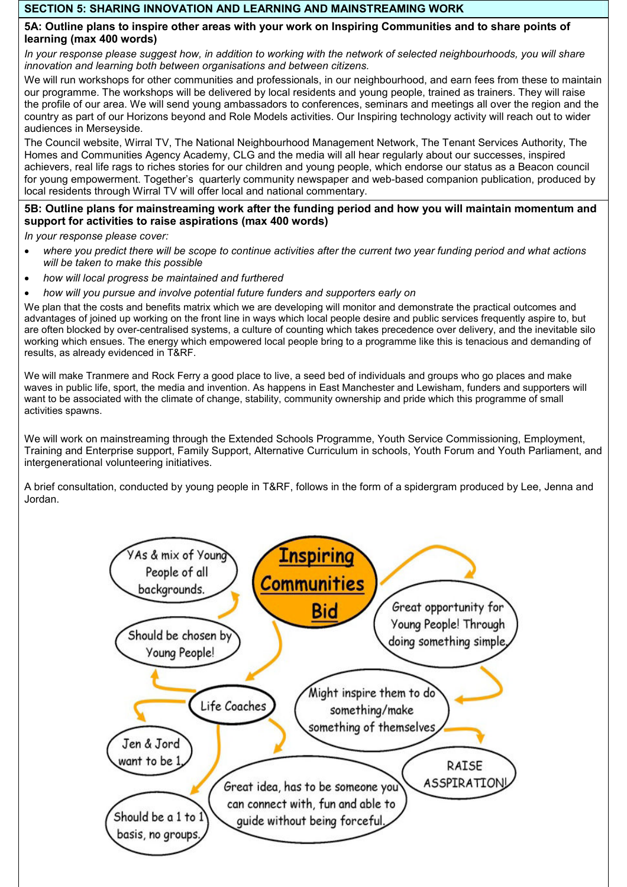## SECTION 5: SHARING INNOVATION AND LEARNING AND MAINSTREAMING WORK

### 5A: Outline plans to inspire other areas with your work on Inspiring Communities and to share points of learning (max 400 words)

In vour response please suggest how, in addition to working with the network of selected neighbourhoods, you will share innovation and learning both between organisations and between citizens.

We will run workshops for other communities and professionals, in our neighbourhood, and earn fees from these to maintain our programme. The workshops will be delivered by local residents and young people, trained as trainers. They will raise the profile of our area. We will send young ambassadors to conferences, seminars and meetings all over the region and the country as part of our Horizons beyond and Role Models activities. Our Inspiring technology activity will reach out to wider audiences in Merseyside.

The Council website, Wirral TV, The National Neighbourhood Management Network, The Tenant Services Authority, The Homes and Communities Agency Academy, CLG and the media will all hear regularly about our successes, inspired achievers, real life rags to riches stories for our children and young people, which endorse our status as a Beacon council for young empowerment. Together's quarterly community newspaper and web-based companion publication, produced by local residents through Wirral TV will offer local and national commentary.

# 5B: Outline plans for mainstreaming work after the funding period and how you will maintain momentum and support for activities to raise aspirations (max 400 words)

In your response please cover:

- where you predict there will be scope to continue activities after the current two year funding period and what actions will be taken to make this possible
- how will local progress be maintained and furthered
- how will you pursue and involve potential future funders and supporters early on

We plan that the costs and benefits matrix which we are developing will monitor and demonstrate the practical outcomes and advantages of joined up working on the front line in ways which local people desire and public services frequently aspire to, but are often blocked by over-centralised systems, a culture of counting which takes precedence over delivery, and the inevitable silo working which ensues. The energy which empowered local people bring to a programme like this is tenacious and demanding of results, as already evidenced in T&RF.

We will make Tranmere and Rock Ferry a good place to live, a seed bed of individuals and groups who go places and make waves in public life, sport, the media and invention. As happens in East Manchester and Lewisham, funders and supporters will want to be associated with the climate of change, stability, community ownership and pride which this programme of small activities spawns.

We will work on mainstreaming through the Extended Schools Programme, Youth Service Commissioning, Employment, Training and Enterprise support, Family Support, Alternative Curriculum in schools, Youth Forum and Youth Parliament, and intergenerational volunteering initiatives.

A brief consultation, conducted by young people in T&RF, follows in the form of a spidergram produced by Lee, Jenna and Jordan.

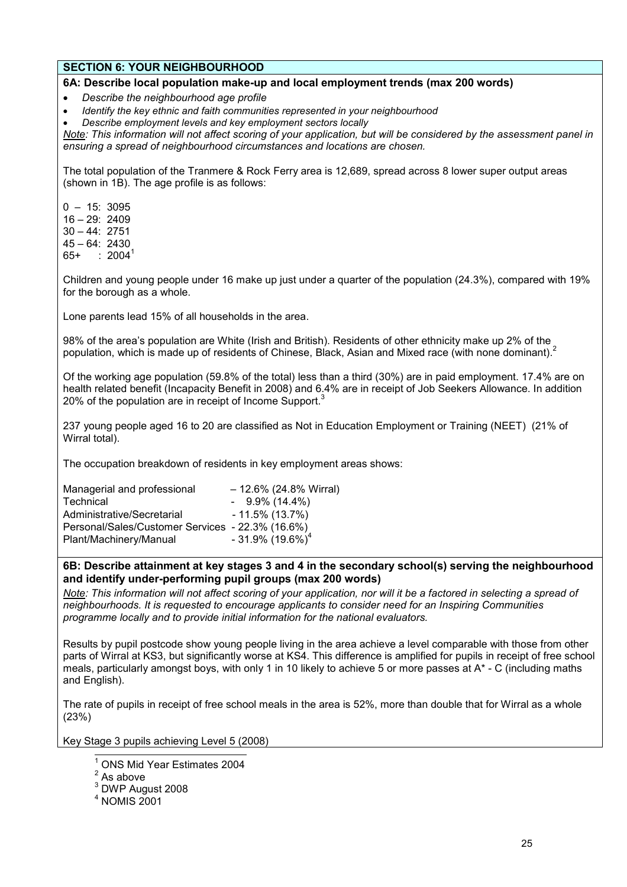## SECTION 6: YOUR NEIGHBOURHOOD

### 6A: Describe local population make-up and local employment trends (max 200 words)

• Describe the neighbourhood age profile

• Identify the key ethnic and faith communities represented in your neighbourhood

• Describe employment levels and key employment sectors locally

Note: This information will not affect scoring of your application, but will be considered by the assessment panel in ensuring a spread of neighbourhood circumstances and locations are chosen.

The total population of the Tranmere & Rock Ferry area is 12,689, spread across 8 lower super output areas (shown in 1B). The age profile is as follows:

 $0 - 15: 3095$  $16 - 29: 2409$ 30 – 44: 2751 45 – 64: 2430  $65+$   $2004^1$ 

Children and young people under 16 make up just under a quarter of the population (24.3%), compared with 19% for the borough as a whole.

Lone parents lead 15% of all households in the area.

98% of the area's population are White (Irish and British). Residents of other ethnicity make up 2% of the population, which is made up of residents of Chinese, Black, Asian and Mixed race (with none dominant).<sup>2</sup>

Of the working age population (59.8% of the total) less than a third (30%) are in paid employment. 17.4% are on health related benefit (Incapacity Benefit in 2008) and 6.4% are in receipt of Job Seekers Allowance. In addition 20% of the population are in receipt of Income Support.<sup>3</sup>

237 young people aged 16 to 20 are classified as Not in Education Employment or Training (NEET) (21% of Wirral total).

The occupation breakdown of residents in key employment areas shows:

| $-12.6\%$ (24.8% Wirral)                         |
|--------------------------------------------------|
| $-9.9\%$ (14.4%)                                 |
| $-11.5\%$ (13.7%)                                |
| Personal/Sales/Customer Services - 22.3% (16.6%) |
| $-31.9\%$ (19.6%) <sup>4</sup>                   |
|                                                  |

### 6B: Describe attainment at key stages 3 and 4 in the secondary school(s) serving the neighbourhood and identify under-performing pupil groups (max 200 words)

Note: This information will not affect scoring of your application, nor will it be a factored in selecting a spread of neighbourhoods. It is requested to encourage applicants to consider need for an Inspiring Communities programme locally and to provide initial information for the national evaluators.

Results by pupil postcode show young people living in the area achieve a level comparable with those from other parts of Wirral at KS3, but significantly worse at KS4. This difference is amplified for pupils in receipt of free school meals, particularly amongst boys, with only 1 in 10 likely to achieve 5 or more passes at A\* - C (including maths and English).

The rate of pupils in receipt of free school meals in the area is 52%, more than double that for Wirral as a whole (23%)

Key Stage 3 pupils achieving Level 5 (2008)

4 NOMIS 2001

 $\overline{\phantom{a}}$ 1 ONS Mid Year Estimates 2004

 $2^2$  As above

 $3$  DWP August 2008